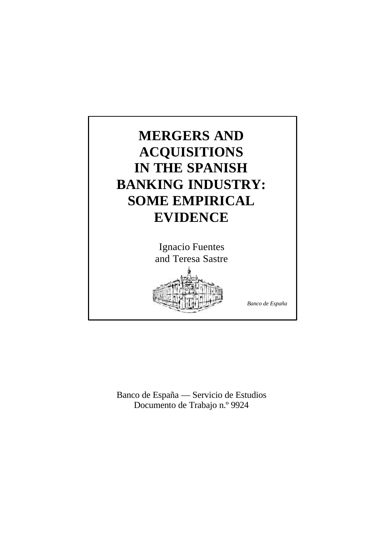

Banco de España — Servicio de Estudios Documento de Trabajo n.º 9924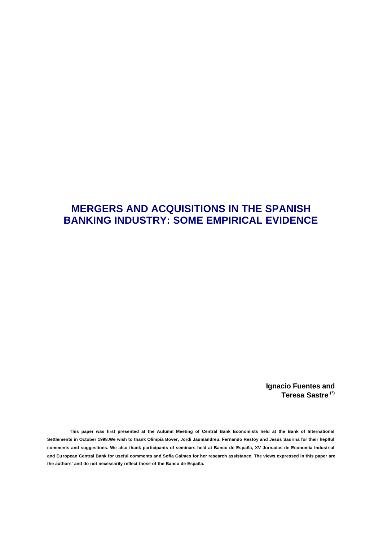# **MERGERS AND ACQUISITIONS IN THE SPANISH BANKING INDUSTRY: SOME EMPIRICAL EVIDENCE**

**Ignacio Fuentes and Teresa Sastre (\*)**

**This paper was first presented at the Autumn Meeting of Central Bank Economists held at the Bank of International Settlements in October 1998.We wish to thank Olimpia Bover, Jordi Jaumandreu, Fernando Restoy and Jesús Saurina for their heplful comments and suggestions. We also thank participants of seminars held at Banco de España, XV Jornadas de Economía Industrial and European Central Bank for useful comments and Sofia Galmes for her research assistance. The views expressed in this paper are the authors' and do not necessarily reflect those of the Banco de España.**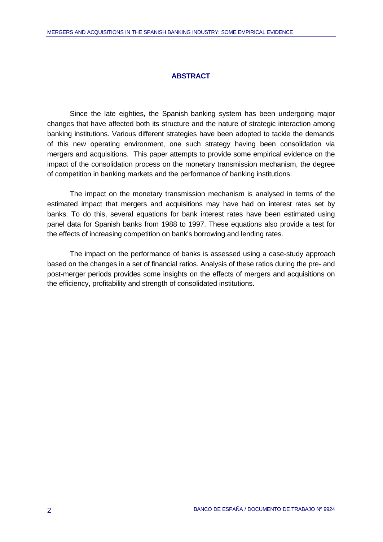# **ABSTRACT**

Since the late eighties, the Spanish banking system has been undergoing major changes that have affected both its structure and the nature of strategic interaction among banking institutions. Various different strategies have been adopted to tackle the demands of this new operating environment, one such strategy having been consolidation via mergers and acquisitions. This paper attempts to provide some empirical evidence on the impact of the consolidation process on the monetary transmission mechanism, the degree of competition in banking markets and the performance of banking institutions.

The impact on the monetary transmission mechanism is analysed in terms of the estimated impact that mergers and acquisitions may have had on interest rates set by banks. To do this, several equations for bank interest rates have been estimated using panel data for Spanish banks from 1988 to 1997. These equations also provide a test for the effects of increasing competition on bank's borrowing and lending rates.

The impact on the performance of banks is assessed using a case-study approach based on the changes in a set of financial ratios. Analysis of these ratios during the pre- and post-merger periods provides some insights on the effects of mergers and acquisitions on the efficiency, profitability and strength of consolidated institutions.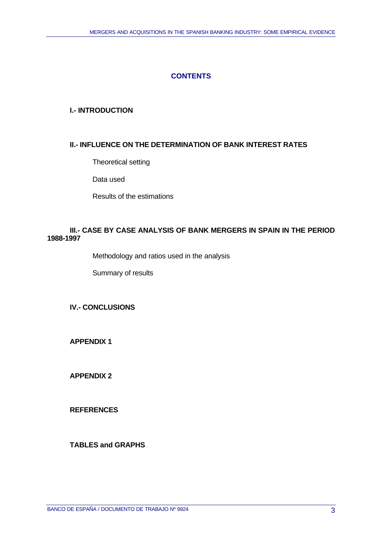# **CONTENTS**

# **I.- INTRODUCTION**

# **II.- INFLUENCE ON THE DETERMINATION OF BANK INTEREST RATES**

Theoretical setting

Data used

Results of the estimations

#### **III.- CASE BY CASE ANALYSIS OF BANK MERGERS IN SPAIN IN THE PERIOD 1988-1997**

Methodology and ratios used in the analysis

Summary of results

**IV.- CONCLUSIONS**

**APPENDIX 1**

**APPENDIX 2**

**REFERENCES**

**TABLES and GRAPHS**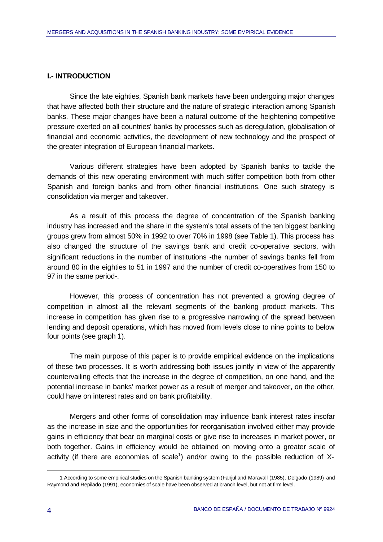#### **I.- INTRODUCTION**

Since the late eighties, Spanish bank markets have been undergoing major changes that have affected both their structure and the nature of strategic interaction among Spanish banks. These major changes have been a natural outcome of the heightening competitive pressure exerted on all countries' banks by processes such as deregulation, globalisation of financial and economic activities, the development of new technology and the prospect of the greater integration of European financial markets.

Various different strategies have been adopted by Spanish banks to tackle the demands of this new operating environment with much stiffer competition both from other Spanish and foreign banks and from other financial institutions. One such strategy is consolidation via merger and takeover.

As a result of this process the degree of concentration of the Spanish banking industry has increased and the share in the system's total assets of the ten biggest banking groups grew from almost 50% in 1992 to over 70% in 1998 (see Table 1). This process has also changed the structure of the savings bank and credit co-operative sectors, with significant reductions in the number of institutions -the number of savings banks fell from around 80 in the eighties to 51 in 1997 and the number of credit co-operatives from 150 to 97 in the same period-.

However, this process of concentration has not prevented a growing degree of competition in almost all the relevant segments of the banking product markets. This increase in competition has given rise to a progressive narrowing of the spread between lending and deposit operations, which has moved from levels close to nine points to below four points (see graph 1).

The main purpose of this paper is to provide empirical evidence on the implications of these two processes. It is worth addressing both issues jointly in view of the apparently countervailing effects that the increase in the degree of competition, on one hand, and the potential increase in banks' market power as a result of merger and takeover, on the other, could have on interest rates and on bank profitability.

Mergers and other forms of consolidation may influence bank interest rates insofar as the increase in size and the opportunities for reorganisation involved either may provide gains in efficiency that bear on marginal costs or give rise to increases in market power, or both together. Gains in efficiency would be obtained on moving onto a greater scale of activity (if there are economies of scale<sup>1</sup>) and/or owing to the possible reduction of X-

 <sup>1</sup> According to some empirical studies on the Spanish banking system (Fanjul and Maravall (1985), Delgado (1989) and Raymond and Repilado (1991), economies of scale have been observed at branch level, but not at firm level.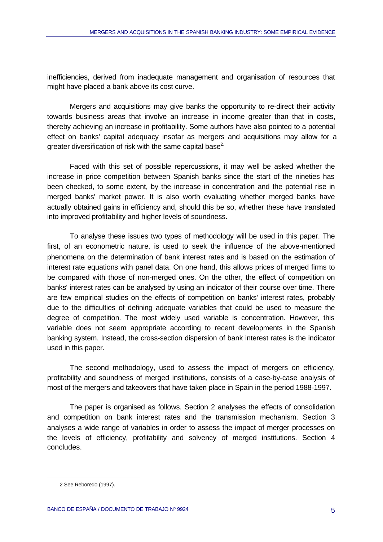inefficiencies, derived from inadequate management and organisation of resources that might have placed a bank above its cost curve.

Mergers and acquisitions may give banks the opportunity to re-direct their activity towards business areas that involve an increase in income greater than that in costs, thereby achieving an increase in profitability. Some authors have also pointed to a potential effect on banks' capital adequacy insofar as mergers and acquisitions may allow for a greater diversification of risk with the same capital base $2<sup>2</sup>$ .

Faced with this set of possible repercussions, it may well be asked whether the increase in price competition between Spanish banks since the start of the nineties has been checked, to some extent, by the increase in concentration and the potential rise in merged banks' market power. It is also worth evaluating whether merged banks have actually obtained gains in efficiency and, should this be so, whether these have translated into improved profitability and higher levels of soundness.

To analyse these issues two types of methodology will be used in this paper. The first, of an econometric nature, is used to seek the influence of the above-mentioned phenomena on the determination of bank interest rates and is based on the estimation of interest rate equations with panel data. On one hand, this allows prices of merged firms to be compared with those of non-merged ones. On the other, the effect of competition on banks' interest rates can be analysed by using an indicator of their course over time. There are few empirical studies on the effects of competition on banks' interest rates, probably due to the difficulties of defining adequate variables that could be used to measure the degree of competition. The most widely used variable is concentration. However, this variable does not seem appropriate according to recent developments in the Spanish banking system. Instead, the cross-section dispersion of bank interest rates is the indicator used in this paper.

The second methodology, used to assess the impact of mergers on efficiency, profitability and soundness of merged institutions, consists of a case-by-case analysis of most of the mergers and takeovers that have taken place in Spain in the period 1988-1997.

The paper is organised as follows. Section 2 analyses the effects of consolidation and competition on bank interest rates and the transmission mechanism. Section 3 analyses a wide range of variables in order to assess the impact of merger processes on the levels of efficiency, profitability and solvency of merged institutions. Section 4 concludes.

 <sup>2</sup> See Reboredo (1997).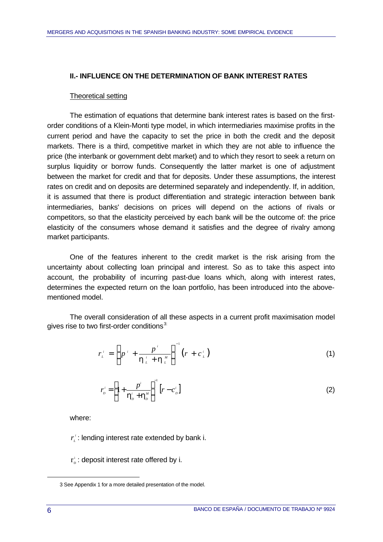# **II.- INFLUENCE ON THE DETERMINATION OF BANK INTEREST RATES**

### Theoretical setting

The estimation of equations that determine bank interest rates is based on the firstorder conditions of a Klein-Monti type model, in which intermediaries maximise profits in the current period and have the capacity to set the price in both the credit and the deposit markets. There is a third, competitive market in which they are not able to influence the price (the interbank or government debt market) and to which they resort to seek a return on surplus liquidity or borrow funds. Consequently the latter market is one of adjustment between the market for credit and that for deposits. Under these assumptions, the interest rates on credit and on deposits are determined separately and independently. If, in addition, it is assumed that there is product differentiation and strategic interaction between bank intermediaries, banks' decisions on prices will depend on the actions of rivals or competitors, so that the elasticity perceived by each bank will be the outcome of: the price elasticity of the consumers whose demand it satisfies and the degree of rivalry among market participants.

One of the features inherent to the credit market is the risk arising from the uncertainty about collecting loan principal and interest. So as to take this aspect into account, the probability of incurring past-due loans which, along with interest rates, determines the expected return on the loan portfolio, has been introduced into the abovementioned model.

The overall consideration of all these aspects in a current profit maximisation model gives rise to two first-order conditions $3$ :

$$
r_{\scriptscriptstyle L}^{\scriptscriptstyle i} = \left[ p^{\scriptscriptstyle i} + \frac{p^{\scriptscriptstyle i}}{\boldsymbol{h}_{\scriptscriptstyle L}^{\scriptscriptstyle i} + \boldsymbol{h}_{\scriptscriptstyle L}^{\scriptscriptstyle M}} \right]^{-1} \left( r + c_{\scriptscriptstyle L}^{\scriptscriptstyle i} \right) \tag{1}
$$

$$
r_{\scriptscriptstyle D}^i = \left[1 + \frac{p^i}{\mathbf{h}_{\scriptscriptstyle D}^i + \mathbf{h}_{\scriptscriptstyle D}^M}\right]^{-1} \left[r - c_{\scriptscriptstyle D}^i\right] \tag{2}
$$

where:

*i*  $r_{\scriptscriptstyle L}^{\scriptscriptstyle \it i}$ : lending interest rate extended by bank i.

i  $\mathbf{r}_\mathrm{b}^{\mathrm{i}}$  : deposit interest rate offered by i.

 <sup>3</sup> See Appendix 1 for a more detailed presentation of the model.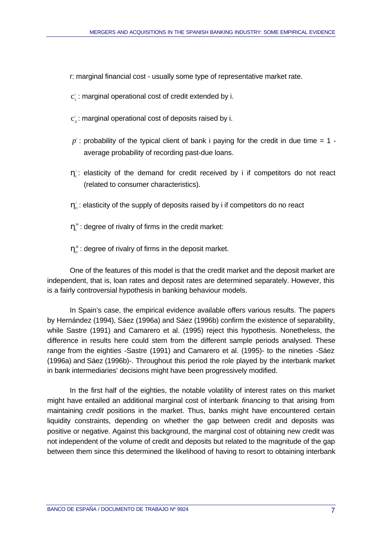r: marginal financial cost - usually some type of representative market rate.

- i  $c_{\text{\tiny L}}^{\text{\tiny i}}$  : marginal operational cost of credit extended by i.
- i  $c_{\rm b}^{\rm i}$  : marginal operational cost of deposits raised by i.
- $p^i$ : probability of the typical client of bank i paying for the credit in due time = 1 average probability of recording past-due loans.
- $\bm{h}^i_{\scriptscriptstyle L}$ : elasticity of the demand for credit received by i if competitors do not react (related to consumer characteristics).
- $\bm{h}_{\scriptscriptstyle\!\! D}^{\scriptscriptstyle\! L}$  : elasticity of the supply of deposits raised by i if competitors do no react
- $\bm{h}_{\!\scriptscriptstyle L}^{\scriptscriptstyle\mathsf{M}}$  : degree of rivalry of firms in the credit market:

 $\textbf{\textit{h}}^{\scriptscriptstyle{M}}_{\scriptscriptstyle{D}}$ : degree of rivalry of firms in the deposit market.

One of the features of this model is that the credit market and the deposit market are independent, that is, loan rates and deposit rates are determined separately. However, this is a fairly controversial hypothesis in banking behaviour models.

In Spain's case, the empirical evidence available offers various results. The papers by Hernández (1994), Sáez (1996a) and Sáez (1996b) confirm the existence of separability, while Sastre (1991) and Camarero et al. (1995) reject this hypothesis. Nonetheless, the difference in results here could stem from the different sample periods analysed. These range from the eighties -Sastre (1991) and Camarero et al. (1995)- to the nineties -Sáez (1996a) and Sáez (1996b)-. Throughout this period the role played by the interbank market in bank intermediaries' decisions might have been progressively modified.

In the first half of the eighties, the notable volatility of interest rates on this market might have entailed an additional marginal cost of interbank *financing* to that arising from maintaining *credit* positions in the market. Thus, banks might have encountered certain liquidity constraints, depending on whether the gap between credit and deposits was positive or negative. Against this background, the marginal cost of obtaining new credit was not independent of the volume of credit and deposits but related to the magnitude of the gap between them since this determined the likelihood of having to resort to obtaining interbank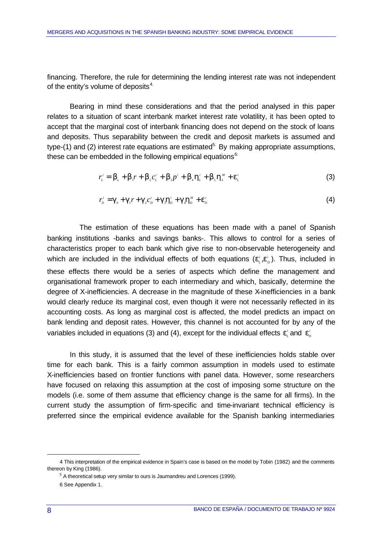financing. Therefore, the rule for determining the lending interest rate was not independent of the entity's volume of deposits $4$ .

Bearing in mind these considerations and that the period analysed in this paper relates to a situation of scant interbank market interest rate volatility, it has been opted to accept that the marginal cost of interbank financing does not depend on the stock of loans and deposits. Thus separability between the credit and deposit markets is assumed and type-(1) and (2) interest rate equations are estimated<sup>5.</sup> By making appropriate assumptions, these can be embedded in the following empirical equations $6$ :

$$
r_{\scriptscriptstyle L}^{\scriptscriptstyle i} = \boldsymbol{b}_{\scriptscriptstyle \rho} + \boldsymbol{b}_{\scriptscriptstyle 1} r + \boldsymbol{b}_{\scriptscriptstyle 2} c_{\scriptscriptstyle L}^{\scriptscriptstyle i} + \boldsymbol{b}_{\scriptscriptstyle 3} p^{\scriptscriptstyle i} + \boldsymbol{b}_{\scriptscriptstyle 4} \boldsymbol{h}_{\scriptscriptstyle L}^{\scriptscriptstyle i} + \boldsymbol{b}_{\scriptscriptstyle 5} \boldsymbol{h}_{\scriptscriptstyle L}^{\scriptscriptstyle M} + \boldsymbol{e}_{\scriptscriptstyle L}^{\scriptscriptstyle i}
$$
 (3)

$$
r_{D}^{i} = g_{D} + g_{D}r + g_{2}c_{D}^{i} + g_{2}h_{D}^{i} + g_{2}h_{D}^{M} + e_{D}^{i}
$$
\n(4)

The estimation of these equations has been made with a panel of Spanish banking institutions -banks and savings banks-. This allows to control for a series of characteristics proper to each bank which give rise to non-observable heterogeneity and which are included in the individual effects of both equations  $(e^i_{\text{\tiny L}},e^i_{\text{\tiny D}})$  $_{\textrm{\tiny{L}}}^{\textrm{\tiny{i}}}$ , $\boldsymbol{e}_{\textrm{\tiny{D}}}^{\textrm{\tiny{i}}}$  ). Thus, included in these effects there would be a series of aspects which define the management and organisational framework proper to each intermediary and which, basically, determine the degree of X-inefficiencies. A decrease in the magnitude of these X-inefficiencies in a bank would clearly reduce its marginal cost, even though it were not necessarily reflected in its accounting costs. As long as marginal cost is affected, the model predicts an impact on bank lending and deposit rates. However, this channel is not accounted for by any of the variables included in equations (3) and (4), except for the individual effects  $\bm{e}_{\text{\tiny L}}^{\text{\tiny i}}$  and  $\bm{e}_{\text{\tiny D}}^{\text{\tiny i}}$ 

In this study, it is assumed that the level of these inefficiencies holds stable over time for each bank. This is a fairly common assumption in models used to estimate X-inefficiencies based on frontier functions with panel data. However, some researchers have focused on relaxing this assumption at the cost of imposing some structure on the models (i.e. some of them assume that efficiency change is the same for all firms). In the current study the assumption of firm-specific and time-invariant technical efficiency is preferred since the empirical evidence available for the Spanish banking intermediaries

 <sup>4</sup> This interpretation of the empirical evidence in Spain's case is based on the model by Tobin (1982) and the comments thereon by King (1986).

<sup>&</sup>lt;sup>5</sup> A theoretical setup very similar to ours is Jaumandreu and Lorences (1999).

 <sup>6</sup> See Appendix 1.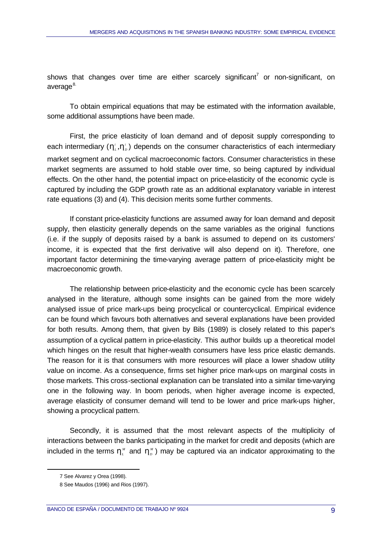shows that changes over time are either scarcely significant<sup>7</sup> or non-significant, on average<sup>8.</sup>

To obtain empirical equations that may be estimated with the information available, some additional assumptions have been made.

First, the price elasticity of loan demand and of deposit supply corresponding to each intermediary ( $\bm{h}^i_{\scriptscriptstyle L}$ , $\bm{h}^i_{\scriptscriptstyle D}$ ) depends on the consumer characteristics of each intermediary market segment and on cyclical macroeconomic factors. Consumer characteristics in these market segments are assumed to hold stable over time, so being captured by individual effects. On the other hand, the potential impact on price-elasticity of the economic cycle is captured by including the GDP growth rate as an additional explanatory variable in interest rate equations (3) and (4). This decision merits some further comments.

If constant price-elasticity functions are assumed away for loan demand and deposit supply, then elasticity generally depends on the same variables as the original functions (i.e. if the supply of deposits raised by a bank is assumed to depend on its customers' income, it is expected that the first derivative will also depend on it). Therefore, one important factor determining the time-varying average pattern of price-elasticity might be macroeconomic growth.

The relationship between price-elasticity and the economic cycle has been scarcely analysed in the literature, although some insights can be gained from the more widely analysed issue of price mark-ups being procyclical or countercyclical. Empirical evidence can be found which favours both alternatives and several explanations have been provided for both results. Among them, that given by Bils (1989) is closely related to this paper's assumption of a cyclical pattern in price-elasticity. This author builds up a theoretical model which hinges on the result that higher-wealth consumers have less price elastic demands. The reason for it is that consumers with more resources will place a lower shadow utility value on income. As a consequence, firms set higher price mark-ups on marginal costs in those markets. This cross-sectional explanation can be translated into a similar time-varying one in the following way. In boom periods, when higher average income is expected, average elasticity of consumer demand will tend to be lower and price mark-ups higher, showing a procyclical pattern.

Secondly, it is assumed that the most relevant aspects of the multiplicity of interactions between the banks participating in the market for credit and deposits (which are included in the terms  $\bm{h}^{\scriptscriptstyle{M}}_{\scriptscriptstyle{L}}$  and  $\bm{h}^{\scriptscriptstyle{M}}_{\scriptscriptstyle{D}}$ ) may be captured via an indicator approximating to the

 <sup>7</sup> See Alvarez y Orea (1998).

 <sup>8</sup> See Maudos (1996) and Rios (1997).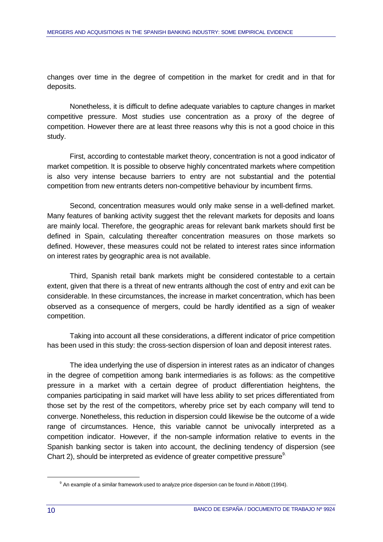changes over time in the degree of competition in the market for credit and in that for deposits.

Nonetheless, it is difficult to define adequate variables to capture changes in market competitive pressure. Most studies use concentration as a proxy of the degree of competition. However there are at least three reasons why this is not a good choice in this study.

First, according to contestable market theory, concentration is not a good indicator of market competition. It is possible to observe highly concentrated markets where competition is also very intense because barriers to entry are not substantial and the potential competition from new entrants deters non-competitive behaviour by incumbent firms.

Second, concentration measures would only make sense in a well-defined market. Many features of banking activity suggest thet the relevant markets for deposits and loans are mainly local. Therefore, the geographic areas for relevant bank markets should first be defined in Spain, calculating thereafter concentration measures on those markets so defined. However, these measures could not be related to interest rates since information on interest rates by geographic area is not available.

Third, Spanish retail bank markets might be considered contestable to a certain extent, given that there is a threat of new entrants although the cost of entry and exit can be considerable. In these circumstances, the increase in market concentration, which has been observed as a consequence of mergers, could be hardly identified as a sign of weaker competition.

Taking into account all these considerations, a different indicator of price competition has been used in this study: the cross-section dispersion of loan and deposit interest rates.

The idea underlying the use of dispersion in interest rates as an indicator of changes in the degree of competition among bank intermediaries is as follows: as the competitive pressure in a market with a certain degree of product differentiation heightens, the companies participating in said market will have less ability to set prices differentiated from those set by the rest of the competitors, whereby price set by each company will tend to converge. Nonetheless, this reduction in dispersion could likewise be the outcome of a wide range of circumstances. Hence, this variable cannot be univocally interpreted as a competition indicator. However, if the non-sample information relative to events in the Spanish banking sector is taken into account, the declining tendency of dispersion (see Chart 2), should be interpreted as evidence of greater competitive pressure $9$ .

 $^9$  An example of a similar framework used to analyze price dispersion can be found in Abbott (1994).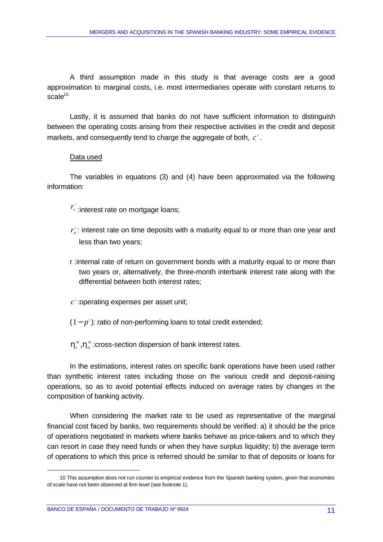A third assumption made in this study is that average costs are a good approximation to marginal costs, i.e. most intermediaries operate with constant returns to scale $10$ .

Lastly, it is assumed that banks do not have sufficient information to distinguish between the operating costs arising from their respective activities in the credit and deposit markets, and consequently tend to charge the aggregate of both,  $c^i$ .

# Data used

The variables in equations (3) and (4) have been approximated via the following information:

*i*  $r_{\scriptscriptstyle L}^{\scriptscriptstyle L}$ :interest rate on mortgage loans;

- *i*  $r_{\scriptscriptstyle D}^{\scriptscriptstyle I}$ : interest rate on time deposits with a maturity equal to or more than one year and less than two years;
- r :internal rate of return on government bonds with a maturity equal to or more than two years or, alternatively, the three-month interbank interest rate along with the differential between both interest rates;
- $c<sup>i</sup>$ :operating expenses per asset unit;
- ( *i* 1− *p* ): ratio of non-performing loans to total credit extended;

*M*  $\bm{h}^{\scriptscriptstyle{M}}_{\scriptscriptstyle{L}}$  , $\bm{h}^{\scriptscriptstyle{M}}_{\scriptscriptstyle{D}}$  :cross-section dispersion of bank interest rates.

In the estimations, interest rates on specific bank operations have been used rather than synthetic interest rates including those on the various credit and deposit-raising operations, so as to avoid potential effects induced on average rates by changes in the composition of banking activity.

When considering the market rate to be used as representative of the marginal financial cost faced by banks, two requirements should be verified: a) it should be the price of operations negotiated in markets where banks behave as price-takers and to which they can resort in case they need funds or when they have surplus liquidity; b) the average term of operations to which this price is referred should be similar to that of deposits or loans for

 <sup>10</sup> This assumption does not run counter to empirical evidence from the Spanish banking system, given that economies of scale have not been observed at firm level (see footnote 1).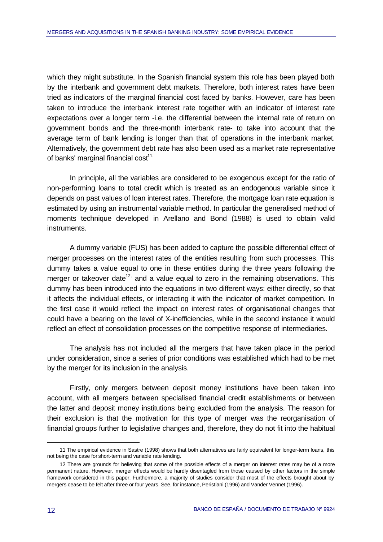which they might substitute. In the Spanish financial system this role has been played both by the interbank and government debt markets. Therefore, both interest rates have been tried as indicators of the marginal financial cost faced by banks. However, care has been taken to introduce the interbank interest rate together with an indicator of interest rate expectations over a longer term -i.e. the differential between the internal rate of return on government bonds and the three-month interbank rate- to take into account that the average term of bank lending is longer than that of operations in the interbank market. Alternatively, the government debt rate has also been used as a market rate representative of banks' marginal financial cost $11$ .

In principle, all the variables are considered to be exogenous except for the ratio of non-performing loans to total credit which is treated as an endogenous variable since it depends on past values of loan interest rates. Therefore, the mortgage loan rate equation is estimated by using an instrumental variable method. In particular the generalised method of moments technique developed in Arellano and Bond (1988) is used to obtain valid instruments.

A dummy variable (FUS) has been added to capture the possible differential effect of merger processes on the interest rates of the entities resulting from such processes. This dummy takes a value equal to one in these entities during the three years following the merger or takeover date<sup>12,</sup> and a value equal to zero in the remaining observations. This dummy has been introduced into the equations in two different ways: either directly, so that it affects the individual effects, or interacting it with the indicator of market competition. In the first case it would reflect the impact on interest rates of organisational changes that could have a bearing on the level of X-inefficiencies, while in the second instance it would reflect an effect of consolidation processes on the competitive response of intermediaries.

The analysis has not included all the mergers that have taken place in the period under consideration, since a series of prior conditions was established which had to be met by the merger for its inclusion in the analysis.

Firstly, only mergers between deposit money institutions have been taken into account, with all mergers between specialised financial credit establishments or between the latter and deposit money institutions being excluded from the analysis. The reason for their exclusion is that the motivation for this type of merger was the reorganisation of financial groups further to legislative changes and, therefore, they do not fit into the habitual

 <sup>11</sup> The empirical evidence in Sastre (1998) shows that both alternatives are fairly equivalent for longer-term loans, this not being the case for short-term and variable rate lending.

 <sup>12</sup> There are grounds for believing that some of the possible effects of a merger on interest rates may be of a more permanent nature. However, merger effects would be hardly disentagled from those caused by other factors in the simple framework considered in this paper. Furthermore, a majority of studies consider that most of the effects brought about by mergers cease to be felt after three or four years. See, for instance, Peristiani (1996) and Vander Vennet (1996).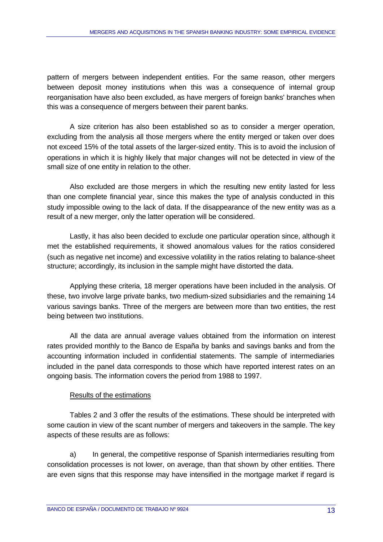pattern of mergers between independent entities. For the same reason, other mergers between deposit money institutions when this was a consequence of internal group reorganisation have also been excluded, as have mergers of foreign banks' branches when this was a consequence of mergers between their parent banks.

A size criterion has also been established so as to consider a merger operation, excluding from the analysis all those mergers where the entity merged or taken over does not exceed 15% of the total assets of the larger-sized entity. This is to avoid the inclusion of operations in which it is highly likely that major changes will not be detected in view of the small size of one entity in relation to the other.

Also excluded are those mergers in which the resulting new entity lasted for less than one complete financial year, since this makes the type of analysis conducted in this study impossible owing to the lack of data. If the disappearance of the new entity was as a result of a new merger, only the latter operation will be considered.

Lastly, it has also been decided to exclude one particular operation since, although it met the established requirements, it showed anomalous values for the ratios considered (such as negative net income) and excessive volatility in the ratios relating to balance-sheet structure; accordingly, its inclusion in the sample might have distorted the data.

Applying these criteria, 18 merger operations have been included in the analysis. Of these, two involve large private banks, two medium-sized subsidiaries and the remaining 14 various savings banks. Three of the mergers are between more than two entities, the rest being between two institutions.

All the data are annual average values obtained from the information on interest rates provided monthly to the Banco de España by banks and savings banks and from the accounting information included in confidential statements. The sample of intermediaries included in the panel data corresponds to those which have reported interest rates on an ongoing basis. The information covers the period from 1988 to 1997.

# Results of the estimations

Tables 2 and 3 offer the results of the estimations. These should be interpreted with some caution in view of the scant number of mergers and takeovers in the sample. The key aspects of these results are as follows:

a) In general, the competitive response of Spanish intermediaries resulting from consolidation processes is not lower, on average, than that shown by other entities. There are even signs that this response may have intensified in the mortgage market if regard is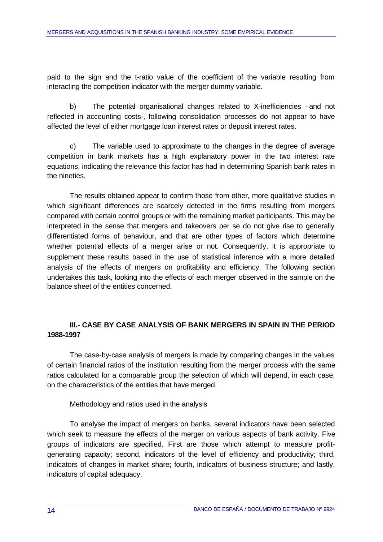paid to the sign and the t-ratio value of the coefficient of the variable resulting from interacting the competition indicator with the merger dummy variable.

b) The potential organisational changes related to X-inefficiencies –and not reflected in accounting costs-, following consolidation processes do not appear to have affected the level of either mortgage loan interest rates or deposit interest rates.

c) The variable used to approximate to the changes in the degree of average competition in bank markets has a high explanatory power in the two interest rate equations, indicating the relevance this factor has had in determining Spanish bank rates in the nineties.

The results obtained appear to confirm those from other, more qualitative studies in which significant differences are scarcely detected in the firms resulting from mergers compared with certain control groups or with the remaining market participants. This may be interpreted in the sense that mergers and takeovers per se do not give rise to generally differentiated forms of behaviour, and that are other types of factors which determine whether potential effects of a merger arise or not. Consequently, it is appropriate to supplement these results based in the use of statistical inference with a more detailed analysis of the effects of mergers on profitability and efficiency. The following section undertakes this task, looking into the effects of each merger observed in the sample on the balance sheet of the entities concerned.

# **III.- CASE BY CASE ANALYSIS OF BANK MERGERS IN SPAIN IN THE PERIOD 1988-1997**

The case-by-case analysis of mergers is made by comparing changes in the values of certain financial ratios of the institution resulting from the merger process with the same ratios calculated for a comparable group the selection of which will depend, in each case, on the characteristics of the entities that have merged.

# Methodology and ratios used in the analysis

To analyse the impact of mergers on banks, several indicators have been selected which seek to measure the effects of the merger on various aspects of bank activity. Five groups of indicators are specified. First are those which attempt to measure profitgenerating capacity; second, indicators of the level of efficiency and productivity; third, indicators of changes in market share; fourth, indicators of business structure; and lastly, indicators of capital adequacy.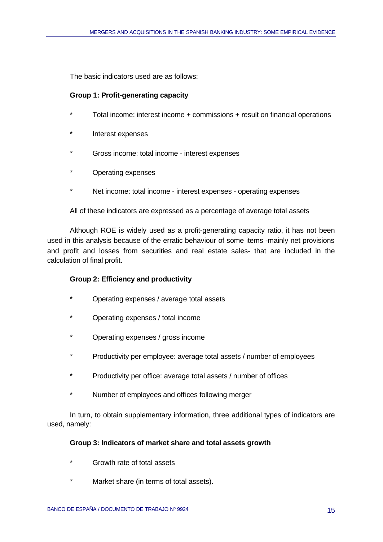The basic indicators used are as follows:

# **Group 1: Profit-generating capacity**

- Total income: interest income + commissions + result on financial operations
- Interest expenses
- Gross income: total income interest expenses
- Operating expenses
- Net income: total income interest expenses operating expenses

All of these indicators are expressed as a percentage of average total assets

Although ROE is widely used as a profit-generating capacity ratio, it has not been used in this analysis because of the erratic behaviour of some items -mainly net provisions and profit and losses from securities and real estate sales- that are included in the calculation of final profit.

#### **Group 2: Efficiency and productivity**

- Operating expenses / average total assets
- Operating expenses / total income
- Operating expenses / gross income
- Productivity per employee: average total assets / number of employees
- Productivity per office: average total assets / number of offices
- Number of employees and offices following merger

In turn, to obtain supplementary information, three additional types of indicators are used, namely:

#### **Group 3: Indicators of market share and total assets growth**

- Growth rate of total assets
- Market share (in terms of total assets).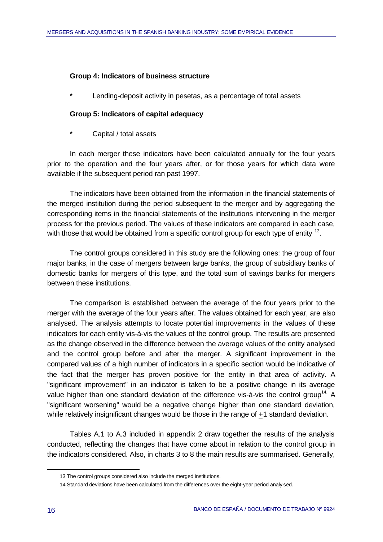# **Group 4: Indicators of business structure**

Lending-deposit activity in pesetas, as a percentage of total assets

# **Group 5: Indicators of capital adequacy**

Capital / total assets

In each merger these indicators have been calculated annually for the four years prior to the operation and the four years after, or for those years for which data were available if the subsequent period ran past 1997.

The indicators have been obtained from the information in the financial statements of the merged institution during the period subsequent to the merger and by aggregating the corresponding items in the financial statements of the institutions intervening in the merger process for the previous period. The values of these indicators are compared in each case, with those that would be obtained from a specific control group for each type of entity  $^{13}$ .

The control groups considered in this study are the following ones: the group of four major banks, in the case of mergers between large banks, the group of subsidiary banks of domestic banks for mergers of this type, and the total sum of savings banks for mergers between these institutions.

The comparison is established between the average of the four years prior to the merger with the average of the four years after. The values obtained for each year, are also analysed. The analysis attempts to locate potential improvements in the values of these indicators for each entity vis-à-vis the values of the control group. The results are presented as the change observed in the difference between the average values of the entity analysed and the control group before and after the merger. A significant improvement in the compared values of a high number of indicators in a specific section would be indicative of the fact that the merger has proven positive for the entity in that area of activity. A "significant improvement" in an indicator is taken to be a positive change in its average value higher than one standard deviation of the difference vis-à-vis the control group<sup>14.</sup> A "significant worsening" would be a negative change higher than one standard deviation, while relatively insignificant changes would be those in the range of +1 standard deviation.

Tables A.1 to A.3 included in appendix 2 draw together the results of the analysis conducted, reflecting the changes that have come about in relation to the control group in the indicators considered. Also, in charts 3 to 8 the main results are summarised. Generally,

 <sup>13</sup> The control groups considered also include the merged institutions.

 <sup>14</sup> Standard deviations have been calculated from the differences over the eight-year period analy sed.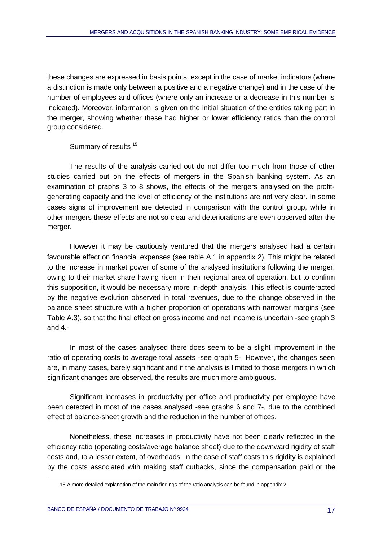these changes are expressed in basis points, except in the case of market indicators (where a distinction is made only between a positive and a negative change) and in the case of the number of employees and offices (where only an increase or a decrease in this number is indicated). Moreover, information is given on the initial situation of the entities taking part in the merger, showing whether these had higher or lower efficiency ratios than the control group considered.

#### Summary of results <sup>15</sup>

The results of the analysis carried out do not differ too much from those of other studies carried out on the effects of mergers in the Spanish banking system. As an examination of graphs 3 to 8 shows, the effects of the mergers analysed on the profitgenerating capacity and the level of efficiency of the institutions are not very clear. In some cases signs of improvement are detected in comparison with the control group, while in other mergers these effects are not so clear and deteriorations are even observed after the merger.

However it may be cautiously ventured that the mergers analysed had a certain favourable effect on financial expenses (see table A.1 in appendix 2). This might be related to the increase in market power of some of the analysed institutions following the merger, owing to their market share having risen in their regional area of operation, but to confirm this supposition, it would be necessary more in-depth analysis. This effect is counteracted by the negative evolution observed in total revenues, due to the change observed in the balance sheet structure with a higher proportion of operations with narrower margins (see Table A.3), so that the final effect on gross income and net income is uncertain -see graph 3 and 4.-

In most of the cases analysed there does seem to be a slight improvement in the ratio of operating costs to average total assets -see graph 5-. However, the changes seen are, in many cases, barely significant and if the analysis is limited to those mergers in which significant changes are observed, the results are much more ambiguous.

Significant increases in productivity per office and productivity per employee have been detected in most of the cases analysed -see graphs 6 and 7-, due to the combined effect of balance-sheet growth and the reduction in the number of offices.

Nonetheless, these increases in productivity have not been clearly reflected in the efficiency ratio (operating costs/average balance sheet) due to the downward rigidity of staff costs and, to a lesser extent, of overheads. In the case of staff costs this rigidity is explained by the costs associated with making staff cutbacks, since the compensation paid or the

 <sup>15</sup> A more detailed explanation of the main findings of the ratio analysis can be found in appendix 2.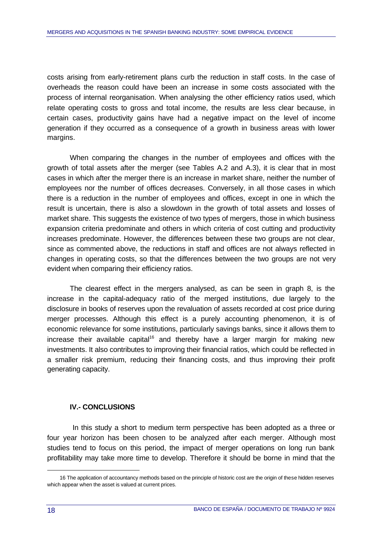costs arising from early-retirement plans curb the reduction in staff costs. In the case of overheads the reason could have been an increase in some costs associated with the process of internal reorganisation. When analysing the other efficiency ratios used, which relate operating costs to gross and total income, the results are less clear because, in certain cases, productivity gains have had a negative impact on the level of income generation if they occurred as a consequence of a growth in business areas with lower margins.

When comparing the changes in the number of employees and offices with the growth of total assets after the merger (see Tables A.2 and A.3), it is clear that in most cases in which after the merger there is an increase in market share, neither the number of employees nor the number of offices decreases. Conversely, in all those cases in which there is a reduction in the number of employees and offices, except in one in which the result is uncertain, there is also a slowdown in the growth of total assets and losses of market share. This suggests the existence of two types of mergers, those in which business expansion criteria predominate and others in which criteria of cost cutting and productivity increases predominate. However, the differences between these two groups are not clear, since as commented above, the reductions in staff and offices are not always reflected in changes in operating costs, so that the differences between the two groups are not very evident when comparing their efficiency ratios.

The clearest effect in the mergers analysed, as can be seen in graph 8, is the increase in the capital-adequacy ratio of the merged institutions, due largely to the disclosure in books of reserves upon the revaluation of assets recorded at cost price during merger processes. Although this effect is a purely accounting phenomenon, it is of economic relevance for some institutions, particularly savings banks, since it allows them to  $inc$ rease their available capital<sup>16</sup> and thereby have a larger margin for making new investments. It also contributes to improving their financial ratios, which could be reflected in a smaller risk premium, reducing their financing costs, and thus improving their profit generating capacity.

# **IV.- CONCLUSIONS**

 In this study a short to medium term perspective has been adopted as a three or four year horizon has been chosen to be analyzed after each merger. Although most studies tend to focus on this period, the impact of merger operations on long run bank proflitability may take more time to develop. Therefore it should be borne in mind that the

 <sup>16</sup> The application of accountancy methods based on the principle of historic cost are the origin of these hidden reserves which appear when the asset is valued at current prices.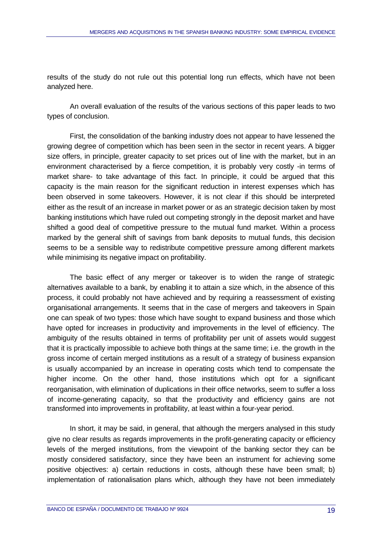results of the study do not rule out this potential long run effects, which have not been analyzed here.

An overall evaluation of the results of the various sections of this paper leads to two types of conclusion.

First, the consolidation of the banking industry does not appear to have lessened the growing degree of competition which has been seen in the sector in recent years. A bigger size offers, in principle, greater capacity to set prices out of line with the market, but in an environment characterised by a fierce competition, it is probably very costly -in terms of market share- to take advantage of this fact. In principle, it could be argued that this capacity is the main reason for the significant reduction in interest expenses which has been observed in some takeovers. However, it is not clear if this should be interpreted either as the result of an increase in market power or as an strategic decision taken by most banking institutions which have ruled out competing strongly in the deposit market and have shifted a good deal of competitive pressure to the mutual fund market. Within a process marked by the general shift of savings from bank deposits to mutual funds, this decision seems to be a sensible way to redistribute competitive pressure among different markets while minimising its negative impact on profitability.

The basic effect of any merger or takeover is to widen the range of strategic alternatives available to a bank, by enabling it to attain a size which, in the absence of this process, it could probably not have achieved and by requiring a reassessment of existing organisational arrangements. It seems that in the case of mergers and takeovers in Spain one can speak of two types: those which have sought to expand business and those which have opted for increases in productivity and improvements in the level of efficiency. The ambiguity of the results obtained in terms of profitability per unit of assets would suggest that it is practically impossible to achieve both things at the same time; i.e. the growth in the gross income of certain merged institutions as a result of a strategy of business expansion is usually accompanied by an increase in operating costs which tend to compensate the higher income. On the other hand, those institutions which opt for a significant reorganisation, with elimination of duplications in their office networks, seem to suffer a loss of income-generating capacity, so that the productivity and efficiency gains are not transformed into improvements in profitability, at least within a four-year period.

In short, it may be said, in general, that although the mergers analysed in this study give no clear results as regards improvements in the profit-generating capacity or efficiency levels of the merged institutions, from the viewpoint of the banking sector they can be mostly considered satisfactory, since they have been an instrument for achieving some positive objectives: a) certain reductions in costs, although these have been small; b) implementation of rationalisation plans which, although they have not been immediately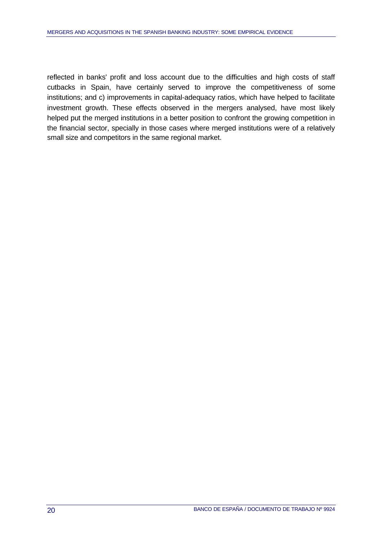reflected in banks' profit and loss account due to the difficulties and high costs of staff cutbacks in Spain, have certainly served to improve the competitiveness of some institutions; and c) improvements in capital-adequacy ratios, which have helped to facilitate investment growth. These effects observed in the mergers analysed, have most likely helped put the merged institutions in a better position to confront the growing competition in the financial sector, specially in those cases where merged institutions were of a relatively small size and competitors in the same regional market.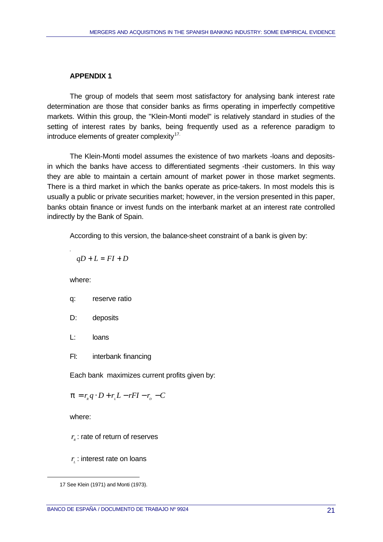#### **APPENDIX 1**

The group of models that seem most satisfactory for analysing bank interest rate determination are those that consider banks as firms operating in imperfectly competitive markets. Within this group, the "Klein-Monti model" is relatively standard in studies of the setting of interest rates by banks, being frequently used as a reference paradigm to introduce elements of greater complexity $17$ .

The Klein-Monti model assumes the existence of two markets -loans and depositsin which the banks have access to differentiated segments -their customers. In this way they are able to maintain a certain amount of market power in those market segments. There is a third market in which the banks operate as price-takers. In most models this is usually a public or private securities market; however, in the version presented in this paper, banks obtain finance or invest funds on the interbank market at an interest rate controlled indirectly by the Bank of Spain.

According to this version, the balance-sheet constraint of a bank is given by:

$$
qD + L = FI + D
$$

where:

- q: reserve ratio
- D: deposits
- L: loans
- FI: interbank financing

Each bank maximizes current profits given by:

 $p = r_{p}q \cdot D + r_{p}L - rFI - r_{p} - C$ 

where:

- $r_{\scriptscriptstyle R}$ : rate of return of reserves
- $r_{\rm\scriptscriptstyle L}$ : interest rate on loans

 <sup>17</sup> See Klein (1971) and Monti (1973).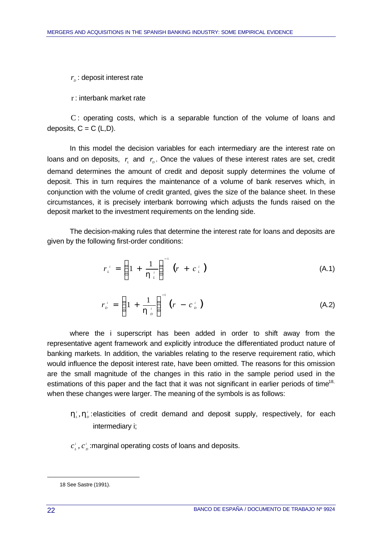$r_{\scriptscriptstyle D}$ : deposit interest rate

r : interbank market rate

C: operating costs, which is a separable function of the volume of loans and deposits,  $C = C$  (L,D).

In this model the decision variables for each intermediary are the interest rate on loans and on deposits,  $r_{\scriptscriptstyle L}$  and  $r_{\scriptscriptstyle D}$ . Once the values of these interest rates are set, credit demand determines the amount of credit and deposit supply determines the volume of deposit. This in turn requires the maintenance of a volume of bank reserves which, in conjunction with the volume of credit granted, gives the size of the balance sheet. In these circumstances, it is precisely interbank borrowing which adjusts the funds raised on the deposit market to the investment requirements on the lending side.

The decision-making rules that determine the interest rate for loans and deposits are given by the following first-order conditions:

$$
r_{\iota}^{\ i} = \left(1 + \frac{1}{\boldsymbol{h}_{\ \iota}^{\ i}}\right)^{-1} \left(r + c_{\ \iota}^{\ i}\right) \tag{A.1}
$$

$$
r_{\scriptscriptstyle D}^{\scriptscriptstyle i} = \left(1 + \frac{1}{\boldsymbol{h}_{\scriptscriptstyle D}^{\scriptscriptstyle i}}\right)^{-1} \left(r - c_{\scriptscriptstyle D}^{\scriptscriptstyle i}\right) \tag{A.2}
$$

where the i superscript has been added in order to shift away from the representative agent framework and explicitly introduce the differentiated product nature of banking markets. In addition, the variables relating to the reserve requirement ratio, which would influence the deposit interest rate, have been omitted. The reasons for this omission are the small magnitude of the changes in this ratio in the sample period used in the estimations of this paper and the fact that it was not significant in earlier periods of time<sup>18,</sup> when these changes were larger. The meaning of the symbols is as follows:

- *i*  $\bm{h}^i_{\scriptscriptstyle L}$ , $\bm{h}^i_{\scriptscriptstyle D}$ :elasticities of credit demand and deposit supply, respectively, for each intermediary i;
- *i D i*  $c_{\scriptscriptstyle L}^{\scriptscriptstyle i}$ ,  $c_{\scriptscriptstyle D}^{\scriptscriptstyle i}$  :marginal operating costs of loans and deposits.

 <sup>18</sup> See Sastre (1991).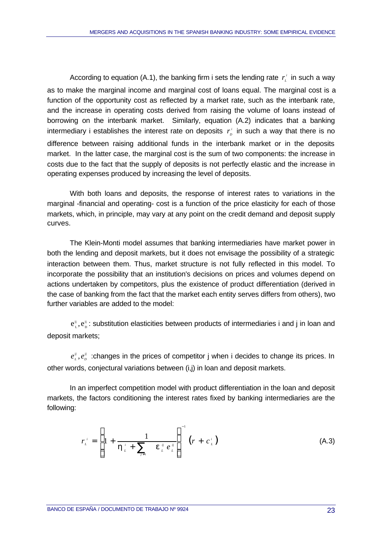According to equation (A.1), the banking firm i sets the lending rate  $r_{\iota}^{\iota}$  in such a way as to make the marginal income and marginal cost of loans equal. The marginal cost is a function of the opportunity cost as reflected by a market rate, such as the interbank rate, and the increase in operating costs derived from raising the volume of loans instead of borrowing on the interbank market. Similarly, equation (A.2) indicates that a banking intermediary i establishes the interest rate on deposits  $r_p^i$  in such a way that there is no difference between raising additional funds in the interbank market or in the deposits market. In the latter case, the marginal cost is the sum of two components: the increase in costs due to the fact that the supply of deposits is not perfectly elastic and the increase in operating expenses produced by increasing the level of deposits.

With both loans and deposits, the response of interest rates to variations in the marginal -financial and operating- cost is a function of the price elasticity for each of those markets, which, in principle, may vary at any point on the credit demand and deposit supply curves.

The Klein-Monti model assumes that banking intermediaries have market power in both the lending and deposit markets, but it does not envisage the possibility of a strategic interaction between them. Thus, market structure is not fully reflected in this model. To incorporate the possibility that an institution's decisions on prices and volumes depend on actions undertaken by competitors, plus the existence of product differentiation (derived in the case of banking from the fact that the market each entity serves differs from others), two further variables are added to the model:

ij D ij  ${\bf e}_{\rm \scriptscriptstyle L}^{\scriptscriptstyle\rm ij}$ , ${\bf e}_{\rm \scriptscriptstyle D}^{\scriptscriptstyle\rm ij}$  : substitution elasticities between products of intermediaries i and j in loan and deposit markets;

*ij D ij*  $e_{\iota}^{\scriptscriptstyle y}$ , $e_{\scriptscriptstyle \mu}^{\scriptscriptstyle y}$  :changes in the prices of competitor j when i decides to change its prices. In other words, conjectural variations between (i,j) in loan and deposit markets.

In an imperfect competition model with product differentiation in the loan and deposit markets, the factors conditioning the interest rates fixed by banking intermediaries are the following:

$$
r_{L}^{\ i} = \left[1 + \frac{1}{\bm{h}_{L}^{\ i} + \sum_{j \neq i}^{\ } \bm{e}_{L}^{\ y} \bm{e}_{L}^{\ y}}\right]^{-1} \left(r + c_{L}^{\ i}\right) \tag{A.3}
$$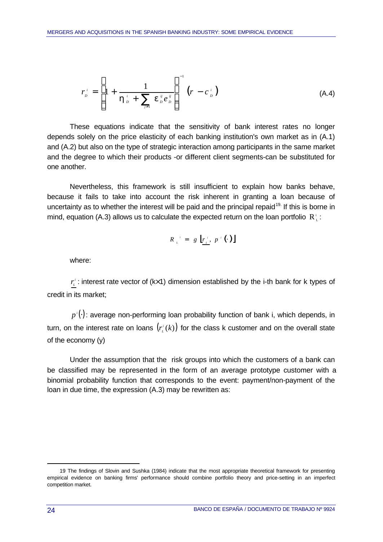$$
r_{p}^{i} = \left[1 + \frac{1}{\mathbf{h}_{p}^{i} + \sum_{j \neq 1} \mathbf{e}_{p}^{i} e_{p}^{i}}\right]^{-1} (r - c_{p}^{i})
$$
 (A.4)

These equations indicate that the sensitivity of bank interest rates no longer depends solely on the price elasticity of each banking institution's own market as in (A.1) and (A.2) but also on the type of strategic interaction among participants in the same market and the degree to which their products -or different client segments-can be substituted for one another.

Nevertheless, this framework is still insufficient to explain how banks behave, because it fails to take into account the risk inherent in granting a loan because of uncertainty as to whether the interest will be paid and the principal repaid<sup>19.</sup> If this is borne in mind, equation (A.3) allows us to calculate the expected return on the loan portfolio  $\,\mathsf{R}_{\,\cdot}^{\,\cdot}$  :

$$
R_{\mu}^{\mu} = g \left[ \underline{r}_{\mu}^{\mu}, \ p^{\mu} (\cdot) \right]
$$

where:

*i*  $r_{\iota}^{\iota}$ : interest rate vector of (k $\times$ 1) dimension established by the i-th bank for k types of credit in its market;

 $p^{\cdot}(\cdot)$ : average non-performing loan probability function of bank i, which depends, in turn, on the interest rate on loans  $(r_i(k))$  $L^{\mu}_{L}(k))$  for the class k customer and on the overall state of the economy (y)

Under the assumption that the risk groups into which the customers of a bank can be classified may be represented in the form of an average prototype customer with a binomial probability function that corresponds to the event: payment/non-payment of the loan in due time, the expression (A.3) may be rewritten as:

 <sup>19</sup> The findings of Slovin and Sushka (1984) indicate that the most appropriate theoretical framework for presenting empirical evidence on banking firms' performance should combine portfolio theory and price-setting in an imperfect competition market.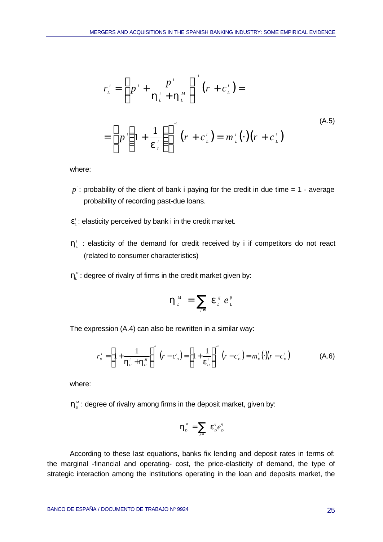$$
r_{L}^{i} = \left[ p^{i} + \frac{p^{i}}{\mathbf{h}_{L}^{i} + \mathbf{h}_{L}^{M}} \right]^{-1} \left( r + c_{L}^{i} \right) =
$$
\n
$$
= \left[ p^{i} \left( 1 + \frac{1}{\mathbf{e}_{L}^{i}} \right) \right]^{-1} \left( r + c_{L}^{i} \right) = m_{L}^{i} (\cdot) \left( r + c_{L}^{i} \right)
$$
\n(A.5)

where:

- $p^i$ : probability of the client of bank i paying for the credit in due time = 1 average probability of recording past-due loans.
- i  $e_{\iota}^{\iota}$ : elasticity perceived by bank i in the credit market.
- $\bm{h}_{\text{\tiny L}}^{\text{\tiny L}}$  : elasticity of the demand for credit received by i if competitors do not react (related to consumer characteristics)
- $\textbf{\textit{h}}_{\text{\tiny L}}^{\text{\tiny M}}$  : degree of rivalry of firms in the credit market given by:

$$
\mathbf{h}_{L}^{M} = \sum_{j \neq i} \mathbf{e}_{L}^{ij} e_{L}^{ij}
$$

The expression (A.4) can also be rewritten in a similar way:

$$
r_{\scriptscriptstyle D}^i = \left[1 + \frac{1}{\bm{h}_{\scriptscriptstyle D}^i + \bm{h}_{\scriptscriptstyle D}^M}\right]^{\! -1} \left(r - c_{\scriptscriptstyle D}^i\right) = \left[1 + \frac{1}{\bm{e}_{\scriptscriptstyle D}^i}\right]^{\! -1} \left(r - c_{\scriptscriptstyle D}^i\right) = m_{\scriptscriptstyle D}^i\left(\cdot\right)\left(r - c_{\scriptscriptstyle D}^i\right) \tag{A.6}
$$

where:

 $\boldsymbol{h}^{\scriptscriptstyle{M}}_{\scriptscriptstyle{D}}$  : degree of rivalry among firms in the deposit market, given by:

$$
\boldsymbol{h}^{\scriptscriptstyle M}_{\scriptscriptstyle D}=\sum_{\scriptscriptstyle j\neq i}\ \boldsymbol{e}^{\scriptscriptstyle ij}_{\scriptscriptstyle D}e^{\scriptscriptstyle ij}_{\scriptscriptstyle D}
$$

According to these last equations, banks fix lending and deposit rates in terms of: the marginal -financial and operating- cost, the price-elasticity of demand, the type of strategic interaction among the institutions operating in the loan and deposits market, the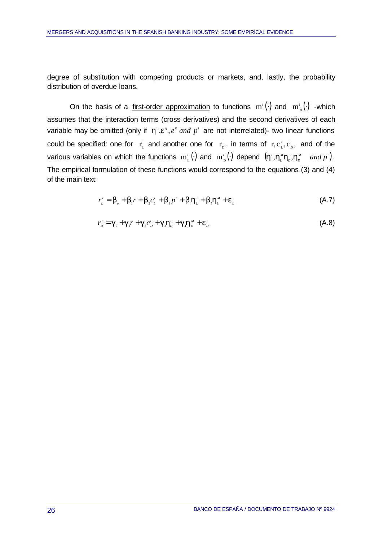degree of substitution with competing products or markets, and, lastly, the probability distribution of overdue loans.

On the basis of a first-order approximation to functions  $m^i_{\text{\tiny L}}(\cdot)$  and  $m^i_{\text{\tiny D}}(\cdot)$  -which assumes that the interaction terms (cross derivatives) and the second derivatives of each variable may be omitted (only if  $h^i,e^y, e^y$  *and*  $p^i$  are not interrelated)- two linear functions could be specified: one for  $r_L^i$  and another one for  $r_L^i$ , in terms of  $r, c_L^i, c_D^i$ , L *i*  $c_p^i$ , and of the various variables on which the functions  $m_\text{\tiny L}^{\text{\tiny i}}(\cdot)$  and  $m_\text{\tiny D}^{\text{\tiny i}}(\cdot)$  depend  $(\bm h^{\text{\tiny i}}, \bm h_\text{\tiny L}^{\text{\tiny M}}\bm h_\text{\tiny D}^{\text{\tiny i}}, \bm h_\text{\tiny D}^{\text{\tiny M}}$  and  $p^{\text{\tiny i}})$ *D i*  $\left(\boldsymbol{h}^{\scriptscriptstyle{i}}, \boldsymbol{h}^{\scriptscriptstyle{M}}_{\scriptscriptstyle{L}} \boldsymbol{h}^{\scriptscriptstyle{j}}_{\scriptscriptstyle{D}}, \boldsymbol{h}^{\scriptscriptstyle{M}}_{\scriptscriptstyle{D}} \quad \text{ and } p^{\scriptscriptstyle{i}}\right)$ . The empirical formulation of these functions would correspond to the equations (3) and (4) of the main text:

$$
r_{\scriptscriptstyle L}^i = \boldsymbol{b}_{\scriptscriptstyle \phi} + \boldsymbol{b}_{\scriptscriptstyle 1} r + \boldsymbol{b}_{\scriptscriptstyle 2} c_{\scriptscriptstyle L}^i + \boldsymbol{b}_{\scriptscriptstyle 3} p^i + \boldsymbol{b}_{\scriptscriptstyle 4} \boldsymbol{h}_{\scriptscriptstyle L}^i + \boldsymbol{b}_{\scriptscriptstyle 5} \boldsymbol{h}_{\scriptscriptstyle L}^M + \boldsymbol{e}_{\scriptscriptstyle L}^i
$$
 (A.7)

$$
r'_{b} = g_{0} + g_{1}r + g_{2}c'_{b} + g_{3}h'_{b} + g_{4}h''_{b} + e'_{b}
$$
\n(A.8)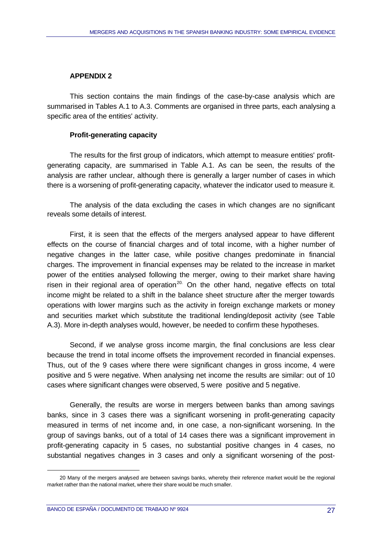#### **APPENDIX 2**

This section contains the main findings of the case-by-case analysis which are summarised in Tables A.1 to A.3. Comments are organised in three parts, each analysing a specific area of the entities' activity.

#### **Profit-generating capacity**

The results for the first group of indicators, which attempt to measure entities' profitgenerating capacity, are summarised in Table A.1. As can be seen, the results of the analysis are rather unclear, although there is generally a larger number of cases in which there is a worsening of profit-generating capacity, whatever the indicator used to measure it.

The analysis of the data excluding the cases in which changes are no significant reveals some details of interest.

First, it is seen that the effects of the mergers analysed appear to have different effects on the course of financial charges and of total income, with a higher number of negative changes in the latter case, while positive changes predominate in financial charges. The improvement in financial expenses may be related to the increase in market power of the entities analysed following the merger, owing to their market share having risen in their regional area of operation<sup>20.</sup> On the other hand, negative effects on total income might be related to a shift in the balance sheet structure after the merger towards operations with lower margins such as the activity in foreign exchange markets or money and securities market which substitute the traditional lending/deposit activity (see Table A.3). More in-depth analyses would, however, be needed to confirm these hypotheses.

Second, if we analyse gross income margin, the final conclusions are less clear because the trend in total income offsets the improvement recorded in financial expenses. Thus, out of the 9 cases where there were significant changes in gross income, 4 were positive and 5 were negative. When analysing net income the results are similar: out of 10 cases where significant changes were observed, 5 were positive and 5 negative.

Generally, the results are worse in mergers between banks than among savings banks, since in 3 cases there was a significant worsening in profit-generating capacity measured in terms of net income and, in one case, a non-significant worsening. In the group of savings banks, out of a total of 14 cases there was a significant improvement in profit-generating capacity in 5 cases, no substantial positive changes in 4 cases, no substantial negatives changes in 3 cases and only a significant worsening of the post-

 <sup>20</sup> Many of the mergers analysed are between savings banks, whereby their reference market would be the regional market rather than the national market, where their share would be much smaller.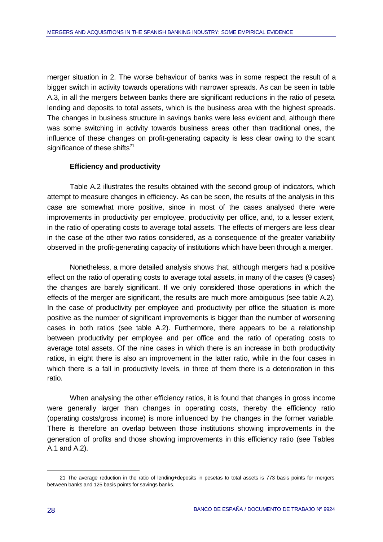merger situation in 2. The worse behaviour of banks was in some respect the result of a bigger switch in activity towards operations with narrower spreads. As can be seen in table A.3, in all the mergers between banks there are significant reductions in the ratio of peseta lending and deposits to total assets, which is the business area with the highest spreads. The changes in business structure in savings banks were less evident and, although there was some switching in activity towards business areas other than traditional ones, the influence of these changes on profit-generating capacity is less clear owing to the scant significance of these shifts $21$ .

# **Efficiency and productivity**

Table A.2 illustrates the results obtained with the second group of indicators, which attempt to measure changes in efficiency. As can be seen, the results of the analysis in this case are somewhat more positive, since in most of the cases analysed there were improvements in productivity per employee, productivity per office, and, to a lesser extent, in the ratio of operating costs to average total assets. The effects of mergers are less clear in the case of the other two ratios considered, as a consequence of the greater variability observed in the profit-generating capacity of institutions which have been through a merger.

Nonetheless, a more detailed analysis shows that, although mergers had a positive effect on the ratio of operating costs to average total assets, in many of the cases (9 cases) the changes are barely significant. If we only considered those operations in which the effects of the merger are significant, the results are much more ambiguous (see table A.2). In the case of productivity per employee and productivity per office the situation is more positive as the number of significant improvements is bigger than the number of worsening cases in both ratios (see table A.2). Furthermore, there appears to be a relationship between productivity per employee and per office and the ratio of operating costs to average total assets. Of the nine cases in which there is an increase in both productivity ratios, in eight there is also an improvement in the latter ratio, while in the four cases in which there is a fall in productivity levels, in three of them there is a deterioration in this ratio.

When analysing the other efficiency ratios, it is found that changes in gross income were generally larger than changes in operating costs, thereby the efficiency ratio (operating costs/gross income) is more influenced by the changes in the former variable. There is therefore an overlap between those institutions showing improvements in the generation of profits and those showing improvements in this efficiency ratio (see Tables A.1 and A.2).

 <sup>21</sup> The average reduction in the ratio of lending+deposits in pesetas to total assets is 773 basis points for mergers between banks and 125 basis points for savings banks.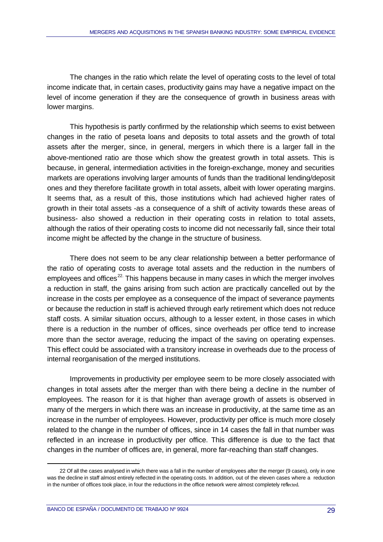The changes in the ratio which relate the level of operating costs to the level of total income indicate that, in certain cases, productivity gains may have a negative impact on the level of income generation if they are the consequence of growth in business areas with lower margins.

This hypothesis is partly confirmed by the relationship which seems to exist between changes in the ratio of peseta loans and deposits to total assets and the growth of total assets after the merger, since, in general, mergers in which there is a larger fall in the above-mentioned ratio are those which show the greatest growth in total assets. This is because, in general, intermediation activities in the foreign-exchange, money and securities markets are operations involving larger amounts of funds than the traditional lending/deposit ones and they therefore facilitate growth in total assets, albeit with lower operating margins. It seems that, as a result of this, those institutions which had achieved higher rates of growth in their total assets -as a consequence of a shift of activity towards these areas of business- also showed a reduction in their operating costs in relation to total assets, although the ratios of their operating costs to income did not necessarily fall, since their total income might be affected by the change in the structure of business.

There does not seem to be any clear relationship between a better performance of the ratio of operating costs to average total assets and the reduction in the numbers of employees and offices<sup>22.</sup> This happens because in many cases in which the merger involves a reduction in staff, the gains arising from such action are practically cancelled out by the increase in the costs per employee as a consequence of the impact of severance payments or because the reduction in staff is achieved through early retirement which does not reduce staff costs. A similar situation occurs, although to a lesser extent, in those cases in which there is a reduction in the number of offices, since overheads per office tend to increase more than the sector average, reducing the impact of the saving on operating expenses. This effect could be associated with a transitory increase in overheads due to the process of internal reorganisation of the merged institutions.

Improvements in productivity per employee seem to be more closely associated with changes in total assets after the merger than with there being a decline in the number of employees. The reason for it is that higher than average growth of assets is observed in many of the mergers in which there was an increase in productivity, at the same time as an increase in the number of employees. However, productivity per office is much more closely related to the change in the number of offices, since in 14 cases the fall in that number was reflected in an increase in productivity per office. This difference is due to the fact that changes in the number of offices are, in general, more far-reaching than staff changes.

 <sup>22</sup> Of all the cases analysed in which there was a fall in the number of employees after the merger (9 cases), only in one was the decline in staff almost entirely reflected in the operating costs. In addition, out of the eleven cases where a reduction in the number of offices took place, in four the reductions in the office network were almost completely reflected.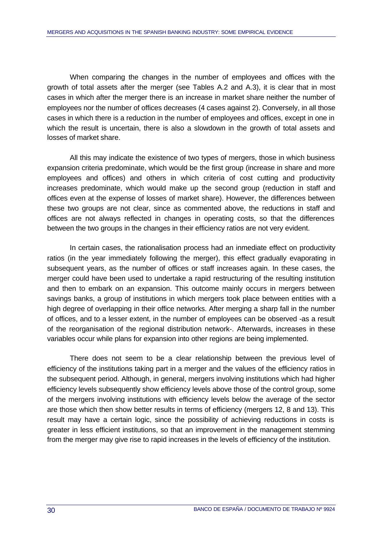When comparing the changes in the number of employees and offices with the growth of total assets after the merger (see Tables A.2 and A.3), it is clear that in most cases in which after the merger there is an increase in market share neither the number of employees nor the number of offices decreases (4 cases against 2). Conversely, in all those cases in which there is a reduction in the number of employees and offices, except in one in which the result is uncertain, there is also a slowdown in the growth of total assets and losses of market share.

All this may indicate the existence of two types of mergers, those in which business expansion criteria predominate, which would be the first group (increase in share and more employees and offices) and others in which criteria of cost cutting and productivity increases predominate, which would make up the second group (reduction in staff and offices even at the expense of losses of market share). However, the differences between these two groups are not clear, since as commented above, the reductions in staff and offices are not always reflected in changes in operating costs, so that the differences between the two groups in the changes in their efficiency ratios are not very evident.

In certain cases, the rationalisation process had an inmediate effect on productivity ratios (in the year immediately following the merger), this effect gradually evaporating in subsequent years, as the number of offices or staff increases again. In these cases, the merger could have been used to undertake a rapid restructuring of the resulting institution and then to embark on an expansion. This outcome mainly occurs in mergers between savings banks, a group of institutions in which mergers took place between entities with a high degree of overlapping in their office networks. After merging a sharp fall in the number of offices, and to a lesser extent, in the number of employees can be observed -as a result of the reorganisation of the regional distribution network-. Afterwards, increases in these variables occur while plans for expansion into other regions are being implemented.

There does not seem to be a clear relationship between the previous level of efficiency of the institutions taking part in a merger and the values of the efficiency ratios in the subsequent period. Although, in general, mergers involving institutions which had higher efficiency levels subsequently show efficiency levels above those of the control group, some of the mergers involving institutions with efficiency levels below the average of the sector are those which then show better results in terms of efficiency (mergers 12, 8 and 13). This result may have a certain logic, since the possibility of achieving reductions in costs is greater in less efficient institutions, so that an improvement in the management stemming from the merger may give rise to rapid increases in the levels of efficiency of the institution.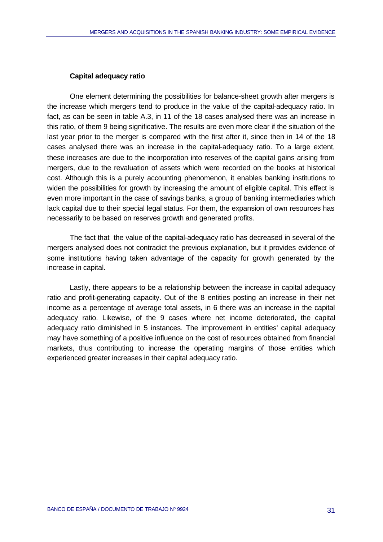### **Capital adequacy ratio**

One element determining the possibilities for balance-sheet growth after mergers is the increase which mergers tend to produce in the value of the capital-adequacy ratio. In fact, as can be seen in table A.3, in 11 of the 18 cases analysed there was an increase in this ratio, of them 9 being significative. The results are even more clear if the situation of the last year prior to the merger is compared with the first after it, since then in 14 of the 18 cases analysed there was an increase in the capital-adequacy ratio. To a large extent, these increases are due to the incorporation into reserves of the capital gains arising from mergers, due to the revaluation of assets which were recorded on the books at historical cost. Although this is a purely accounting phenomenon, it enables banking institutions to widen the possibilities for growth by increasing the amount of eligible capital. This effect is even more important in the case of savings banks, a group of banking intermediaries which lack capital due to their special legal status. For them, the expansion of own resources has necessarily to be based on reserves growth and generated profits.

The fact that the value of the capital-adequacy ratio has decreased in several of the mergers analysed does not contradict the previous explanation, but it provides evidence of some institutions having taken advantage of the capacity for growth generated by the increase in capital.

Lastly, there appears to be a relationship between the increase in capital adequacy ratio and profit-generating capacity. Out of the 8 entities posting an increase in their net income as a percentage of average total assets, in 6 there was an increase in the capital adequacy ratio. Likewise, of the 9 cases where net income deteriorated, the capital adequacy ratio diminished in 5 instances. The improvement in entities' capital adequacy may have something of a positive influence on the cost of resources obtained from financial markets, thus contributing to increase the operating margins of those entities which experienced greater increases in their capital adequacy ratio.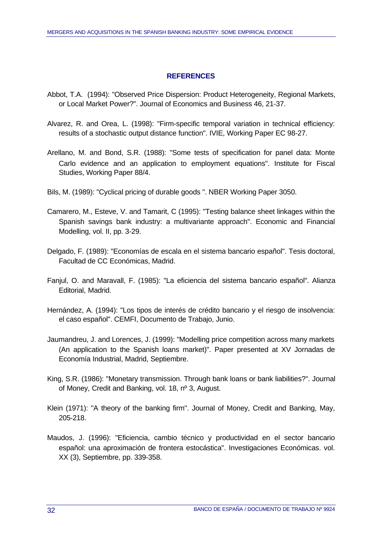# **REFERENCES**

- Abbot, T.A. (1994): "Observed Price Dispersion: Product Heterogeneity, Regional Markets, or Local Market Power?". Journal of Economics and Business 46, 21-37.
- Alvarez, R. and Orea, L. (1998): "Firm-specific temporal variation in technical efficiency: results of a stochastic output distance function". IVIE, Working Paper EC 98-27.
- Arellano, M. and Bond, S.R. (1988): "Some tests of specification for panel data: Monte Carlo evidence and an application to employment equations". Institute for Fiscal Studies, Working Paper 88/4.
- Bils, M. (1989): "Cyclical pricing of durable goods ". NBER Working Paper 3050.
- Camarero, M., Esteve, V. and Tamarit, C (1995): "Testing balance sheet linkages within the Spanish savings bank industry: a multivariante approach". Economic and Financial Modelling, vol. II, pp. 3-29.
- Delgado, F. (1989): "Economías de escala en el sistema bancario español". Tesis doctoral, Facultad de CC Económicas, Madrid.
- Fanjul, O. and Maravall, F. (1985): "La eficiencia del sistema bancario español". Alianza Editorial, Madrid.
- Hernández, A. (1994): "Los tipos de interés de crédito bancario y el riesgo de insolvencia: el caso español". CEMFI, Documento de Trabajo, Junio.
- Jaumandreu, J. and Lorences, J. (1999): "Modelling price competition across many markets (An application to the Spanish loans market)". Paper presented at XV Jornadas de Economía Industrial, Madrid, Septiembre.
- King, S.R. (1986): "Monetary transmission. Through bank loans or bank liabilities?". Journal of Money, Credit and Banking, vol. 18, nº 3, August.
- Klein (1971): "A theory of the banking firm". Journal of Money, Credit and Banking, May, 205-218.
- Maudos, J. (1996): "Eficiencia, cambio técnico y productividad en el sector bancario español: una aproximación de frontera estocástica". Investigaciones Económicas. vol. XX (3), Septiembre, pp. 339-358.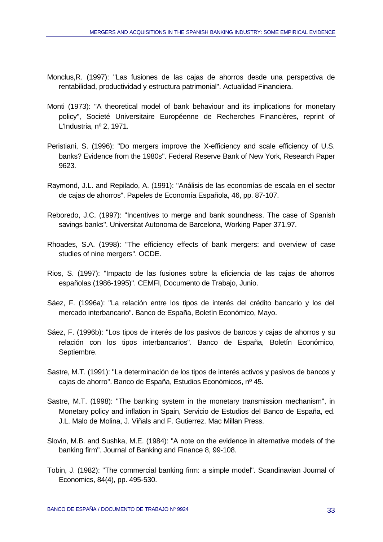- Monclus,R. (1997): "Las fusiones de las cajas de ahorros desde una perspectiva de rentabilidad, productividad y estructura patrimonial". Actualidad Financiera.
- Monti (1973): "A theoretical model of bank behaviour and its implications for monetary policy", Societé Universitaire Européenne de Recherches Financières, reprint of L'Industria, nº 2, 1971.
- Peristiani, S. (1996): "Do mergers improve the X-efficiency and scale efficiency of U.S. banks? Evidence from the 1980s". Federal Reserve Bank of New York, Research Paper 9623.
- Raymond, J.L. and Repilado, A. (1991): "Análisis de las economías de escala en el sector de cajas de ahorros". Papeles de Economía Española, 46, pp. 87-107.
- Reboredo, J.C. (1997): "Incentives to merge and bank soundness. The case of Spanish savings banks". Universitat Autonoma de Barcelona, Working Paper 371.97.
- Rhoades, S.A. (1998): "The efficiency effects of bank mergers: and overview of case studies of nine mergers". OCDE.
- Rios, S. (1997): "Impacto de las fusiones sobre la eficiencia de las cajas de ahorros españolas (1986-1995)". CEMFI, Documento de Trabajo, Junio.
- Sáez, F. (1996a): "La relación entre los tipos de interés del crédito bancario y los del mercado interbancario". Banco de España, Boletín Económico, Mayo.
- Sáez, F. (1996b): "Los tipos de interés de los pasivos de bancos y cajas de ahorros y su relación con los tipos interbancarios". Banco de España, Boletín Económico, Septiembre.
- Sastre, M.T. (1991): "La determinación de los tipos de interés activos y pasivos de bancos y cajas de ahorro". Banco de España, Estudios Económicos, nº 45.
- Sastre, M.T. (1998): "The banking system in the monetary transmission mechanism", in Monetary policy and inflation in Spain, Servicio de Estudios del Banco de España, ed. J.L. Malo de Molina, J. Viñals and F. Gutierrez. Mac Millan Press.
- Slovin, M.B. and Sushka, M.E. (1984): "A note on the evidence in alternative models of the banking firm". Journal of Banking and Finance 8, 99-108.
- Tobin, J. (1982): "The commercial banking firm: a simple model". Scandinavian Journal of Economics, 84(4), pp. 495-530.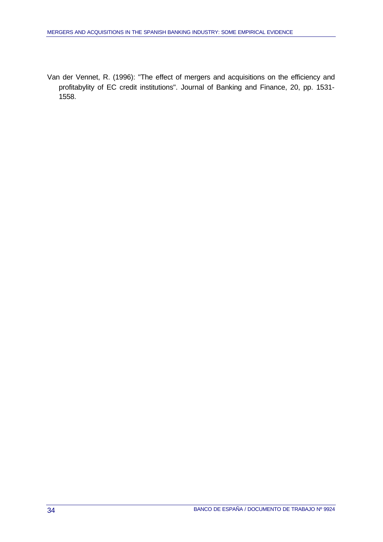Van der Vennet, R. (1996): "The effect of mergers and acquisitions on the efficiency and profitabylity of EC credit institutions". Journal of Banking and Finance, 20, pp. 1531- 1558.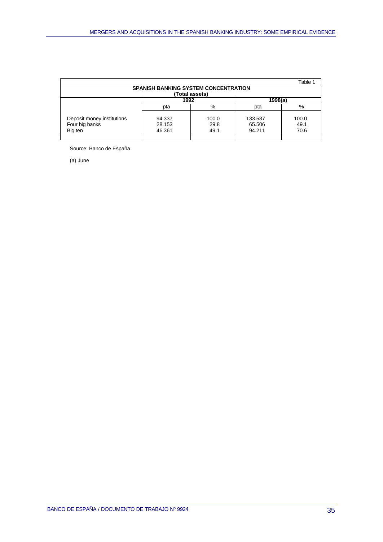|                                                               |                            |                       |                             | Table                 |  |  |  |  |
|---------------------------------------------------------------|----------------------------|-----------------------|-----------------------------|-----------------------|--|--|--|--|
| <b>SPANISH BANKING SYSTEM CONCENTRATION</b><br>(Total assets) |                            |                       |                             |                       |  |  |  |  |
|                                                               | 1992                       |                       | 1998(a)                     |                       |  |  |  |  |
|                                                               | pta                        | %                     | pta                         | %                     |  |  |  |  |
| Deposit money institutions<br>Four big banks<br>Big ten       | 94.337<br>28.153<br>46.361 | 100.0<br>29.8<br>49.1 | 133.537<br>65.506<br>94.211 | 100.0<br>49.1<br>70.6 |  |  |  |  |

Source: Banco de España

(a) June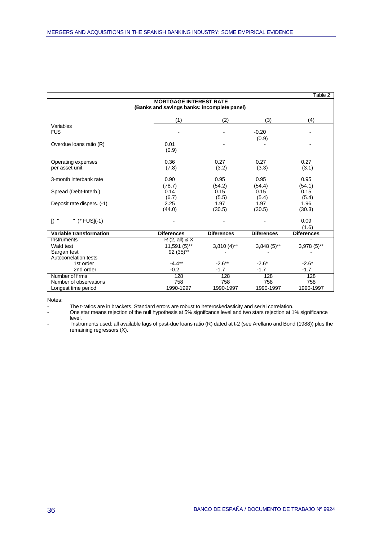|                                                                              |                   |                   |                   | Table 2           |  |  |  |  |  |
|------------------------------------------------------------------------------|-------------------|-------------------|-------------------|-------------------|--|--|--|--|--|
| <b>MORTGAGE INTEREST RATE</b><br>(Banks and savings banks: incomplete panel) |                   |                   |                   |                   |  |  |  |  |  |
|                                                                              |                   |                   |                   |                   |  |  |  |  |  |
|                                                                              | (1)               | (2)               | (3)               | (4)               |  |  |  |  |  |
| Variables                                                                    |                   |                   |                   |                   |  |  |  |  |  |
| <b>FUS</b>                                                                   |                   |                   | $-0.20$           |                   |  |  |  |  |  |
|                                                                              |                   |                   | (0.9)             |                   |  |  |  |  |  |
| Overdue loans ratio (R)                                                      | 0.01              |                   |                   |                   |  |  |  |  |  |
|                                                                              | (0.9)             |                   |                   |                   |  |  |  |  |  |
| Operating expenses                                                           | 0.36              | 0.27              | 0.27              | 0.27              |  |  |  |  |  |
| per asset unit                                                               | (7.8)             | (3.2)             | (3.3)             | (3.1)             |  |  |  |  |  |
| 3-month interbank rate                                                       | 0.90              | 0.95              | 0.95              | 0.95              |  |  |  |  |  |
|                                                                              | (78.7)            | (54.2)            | (54.4)            | (54.1)            |  |  |  |  |  |
| Spread (Debt-Interb.)                                                        | 0.14              | 0.15              | 0.15              | 0.15              |  |  |  |  |  |
|                                                                              | (6.7)             | (5.5)             | (5.4)             | (5.4)             |  |  |  |  |  |
| Deposit rate dispers. (-1)                                                   | 2.25              | 1.97              | 1.97              | 1.96              |  |  |  |  |  |
|                                                                              | (44.0)            | (30.5)            | (30.5)            | (30.3)            |  |  |  |  |  |
| $\lbrack$ ( $"$<br>" ) * $FUS( -1)$                                          |                   |                   |                   | 0.09              |  |  |  |  |  |
|                                                                              |                   |                   |                   | (1.6)             |  |  |  |  |  |
| Variable transformation                                                      | <b>Diferences</b> | <b>Diferences</b> | <b>Diferences</b> | <b>Diferences</b> |  |  |  |  |  |
| <b>Instruments</b>                                                           | R(2, all) & X     |                   |                   |                   |  |  |  |  |  |
| Wald test                                                                    | $11,591(5)$ **    | $3,810(4)$ **     | $3,848(5)$ **     | 3,978 (5)**       |  |  |  |  |  |
| Sargan test                                                                  | 92 (35)**         |                   |                   |                   |  |  |  |  |  |
| Autocorrelation tests                                                        |                   |                   |                   |                   |  |  |  |  |  |
| 1st order                                                                    | $-4.4***$         | $-2.6***$         | $-2.6*$           | $-2.6*$           |  |  |  |  |  |
| 2nd order                                                                    | $-0.2$            | $-1.7$            | $-1.7$            | $-1.7$            |  |  |  |  |  |
| Number of firms                                                              | 128               | 128               | 128               | 128               |  |  |  |  |  |
| Number of observations                                                       | 758               | 758               | 758               | 758               |  |  |  |  |  |
| Longest time period                                                          | 1990-1997         | 1990-1997         | 1990-1997         | 1990-1997         |  |  |  |  |  |

Notes:

- The t-ratios are in brackets. Standard errors are robust to heteroskedasticity and serial correlation.

- One star means rejection of the null hypothesis at 5% signifcance level and two stars rejection at 1% significance level.

- Instruments used: all available lags of past-due loans ratio (R) dated at t-2 (see Arellano and Bond (1988)) plus the remaining regressors (X).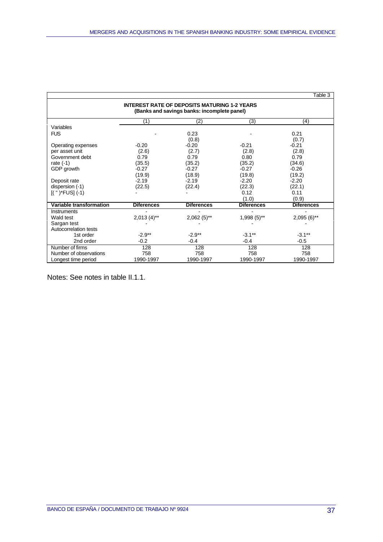|                         |                   |                                                                                                    |                   | Table 3           |
|-------------------------|-------------------|----------------------------------------------------------------------------------------------------|-------------------|-------------------|
|                         |                   | <b>INTEREST RATE OF DEPOSITS MATURING 1-2 YEARS</b><br>(Banks and savings banks: incomplete panel) |                   |                   |
|                         | (1)               | (2)                                                                                                | (3)               | (4)               |
| Variables               |                   |                                                                                                    |                   |                   |
| <b>FUS</b>              |                   | 0.23<br>(0.8)                                                                                      |                   | 0.21<br>(0.7)     |
| Operating expenses      | $-0.20$           | $-0.20$                                                                                            | $-0.21$           | $-0.21$           |
| per asset unit          | (2.6)             | (2.7)                                                                                              | (2.8)             | (2.8)             |
| Government debt         | 0.79              | 0.79                                                                                               | 0.80              | 0.79              |
| rate $(-1)$             | (35.5)            | (35.2)                                                                                             | (35.2)            | (34.6)            |
| GDP growth              | $-0.27$           | $-0.27$                                                                                            | $-0.27$           | $-0.26$           |
|                         | (19.9)            | (18.9)                                                                                             | (19.8)            | (19.2)            |
| Deposit rate            | $-2.19$           | $-2.19$                                                                                            | $-2.20$           | $-2.20$           |
| dispersion (-1)         | (22.5)            | (22.4)                                                                                             | (22.3)            | (22.1)            |
| $[( " )*FUS ] (-1)$     |                   |                                                                                                    | 0.12              | 0.11              |
|                         |                   |                                                                                                    | (1.0)             | (0.9)             |
| Variable transformation | <b>Diferences</b> | <b>Diferences</b>                                                                                  | <b>Diferences</b> | <b>Diferences</b> |
| Instruments             |                   |                                                                                                    |                   |                   |
| Wald test               | $2,013(4)$ **     | $2,062(5)$ **                                                                                      | 1,998 (5)**       | $2,095(6)$ **     |
| Sargan test             |                   |                                                                                                    |                   |                   |
| Autocorrelation tests   |                   |                                                                                                    |                   |                   |
| 1st order               | $-2.9**$          | $-2.9**$                                                                                           | $-3.1**$          | $-3.1***$         |
| 2nd order               | $-0.2$            | $-0.4$                                                                                             | $-0.4$            | $-0.5$            |
| Number of firms         | 128               | 128                                                                                                | 128               | 128               |
| Number of observations  | 758               | 758                                                                                                | 758               | 758               |
| Longest time period     | 1990-1997         | 1990-1997                                                                                          | 1990-1997         | 1990-1997         |

Notes: See notes in table II.1.1.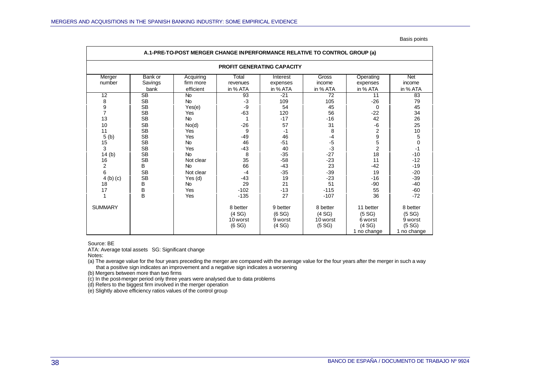Basis points

| A.1-PRE-TO-POST MERGER CHANGE INPERFORMANCE RELATIVE TO CONTROL GROUP (a) |                        |                        |                      |                      |                     |                          |                    |  |  |  |
|---------------------------------------------------------------------------|------------------------|------------------------|----------------------|----------------------|---------------------|--------------------------|--------------------|--|--|--|
| PROFIT GENERATING CAPACITY                                                |                        |                        |                      |                      |                     |                          |                    |  |  |  |
| Merger                                                                    | Bank or                | Acquiring              | Total                | Interest             | <b>Gross</b>        | Operating                | Net                |  |  |  |
| number                                                                    | Savings<br>bank        | firm more<br>efficient | revenues<br>in % ATA | expenses<br>in % ATA | income<br>in % ATA  | expenses<br>in % ATA     | income<br>in % ATA |  |  |  |
| $\overline{12}$                                                           | $\overline{\text{SB}}$ | <b>No</b>              | 93                   | $-21$                | 72                  | 11                       | 83                 |  |  |  |
|                                                                           | <b>SB</b>              | <b>No</b>              | $-3$                 | 109                  | 105                 | $-26$                    | 79                 |  |  |  |
| $\begin{array}{c} 8 \\ 9 \\ 7 \end{array}$                                | <b>SB</b>              | Yes(e)                 | -9                   | 54                   | 45                  | 0                        | 45                 |  |  |  |
|                                                                           | <b>SB</b>              | Yes                    | $-63$                | 120                  | 56                  | $-22$                    | 34                 |  |  |  |
| 13                                                                        | <b>SB</b>              | <b>No</b>              |                      | $-17$                | $-16$               | 42                       | 26                 |  |  |  |
| 10                                                                        | <b>SB</b>              | No(d)                  | $-26$                | 57                   | 31                  |                          | 25                 |  |  |  |
| 11                                                                        | <b>SB</b>              | Yes                    | 9                    | $-1$                 | 8                   |                          | 10                 |  |  |  |
| 5(b)                                                                      | <b>SB</b>              | Yes                    | $-49$                | 46                   | $-4$                |                          | 5                  |  |  |  |
| 15                                                                        | <b>SB</b>              | <b>No</b>              | 46                   | $-51$                | $-5$                | $-6$<br>2<br>9<br>5<br>2 | $\Omega$           |  |  |  |
| 3                                                                         | <b>SB</b>              | Yes                    | $-43$                | 40                   | $-3$                |                          | $-1$               |  |  |  |
| 14(b)                                                                     | <b>SB</b>              | <b>No</b>              | 8                    | $-35$                | $-27$               | 18                       | $-10$              |  |  |  |
|                                                                           | <b>SB</b>              | Not clear              | 35                   | $-58$                | $-23$               | 11                       | $-12$              |  |  |  |
| $\frac{16}{2}$                                                            | B                      | <b>No</b>              | 66                   | $-43$                | 23                  | $-42$                    | $-19$              |  |  |  |
| 6                                                                         | <b>SB</b>              | Not clear              | $-4$                 | $-35$                | $-39$               | 19                       | $-20$              |  |  |  |
| $4(b)$ $(c)$                                                              | <b>SB</b>              | Yes (d)                | $-43$                | 19                   | $-23$               | $-16$                    | $-39$              |  |  |  |
| 18                                                                        | В                      | <b>No</b>              | 29                   | 21                   | 51                  | $-90$                    | $-40$              |  |  |  |
| 17                                                                        |                        | Yes                    | $-102$               | $-13$                | $-115$              | 55                       | $-60$              |  |  |  |
|                                                                           | B<br>B                 | Yes                    | $-135$               | 27                   | $-107$              | 36                       | $-72$              |  |  |  |
| <b>SUMMARY</b>                                                            |                        |                        | 8 better             | 9 better             | 8 better            | 11 better                | 8 better           |  |  |  |
|                                                                           |                        |                        | (4 S <sub>G</sub> )  | (6 S)                | (4 S <sub>G</sub> ) | (5 S)                    | (5 S)              |  |  |  |
|                                                                           |                        |                        | 10 worst             | 9 worst              | 10 worst            | 6 worst                  | 9 worst            |  |  |  |
|                                                                           |                        |                        | (6 SG)               | (4 S <sub>G</sub> )  | (5 S)               | (4 SG)                   | (5 SG)             |  |  |  |
|                                                                           |                        |                        |                      |                      |                     | 1 no change              | 1 no change        |  |  |  |

#### Source: BE

ATA: Average total assets SG: Significant change

Notes:

(a) The average value for the four years preceding the merger are compared with the average value for the four years after the merger in such a way that a positive sign indicates an improvement and a negative sign indicates a worsening

(b) Mergers between more than two firms

(c) In the post-merger period only three years were analysed due to data problems

(d) Refers to the biggest firm involved in the merger operation

(e) Slightly above efficiency ratios values of the control group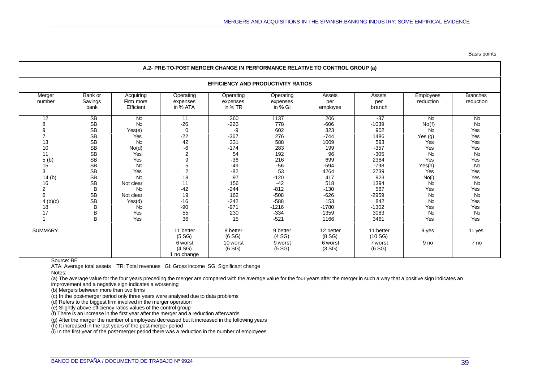Basis points

| A.2- PRE-TO-POST MERGER CHANGE IN PERFORMANCE RELATIVE TO CONTROL GROUP (a)                                                      |                                                                                                                                                                                          |                                                                                                                                                                                               |                                                                                                                                                           |                                                                                                                                                |                                                                                                                                                      |                                                                                                                                                  |                                                                                                                                                         |                                                                                                                                                   |                                                                                                                                                                           |
|----------------------------------------------------------------------------------------------------------------------------------|------------------------------------------------------------------------------------------------------------------------------------------------------------------------------------------|-----------------------------------------------------------------------------------------------------------------------------------------------------------------------------------------------|-----------------------------------------------------------------------------------------------------------------------------------------------------------|------------------------------------------------------------------------------------------------------------------------------------------------|------------------------------------------------------------------------------------------------------------------------------------------------------|--------------------------------------------------------------------------------------------------------------------------------------------------|---------------------------------------------------------------------------------------------------------------------------------------------------------|---------------------------------------------------------------------------------------------------------------------------------------------------|---------------------------------------------------------------------------------------------------------------------------------------------------------------------------|
|                                                                                                                                  | <b>EFFICIENCY AND PRODUCTIVITY RATIOS</b>                                                                                                                                                |                                                                                                                                                                                               |                                                                                                                                                           |                                                                                                                                                |                                                                                                                                                      |                                                                                                                                                  |                                                                                                                                                         |                                                                                                                                                   |                                                                                                                                                                           |
| Merger<br>number                                                                                                                 | Bank or<br>Savings<br>bank                                                                                                                                                               | Acquiring<br>Firm more<br>Efficient                                                                                                                                                           | Operating<br>expenses<br>in % ATA                                                                                                                         | Operating<br>expenses<br>in % TR                                                                                                               | Operating<br>expenses<br>in % GI                                                                                                                     | Assets<br>per<br>employee                                                                                                                        | Assets<br>per<br>branch                                                                                                                                 | Employees<br>reduction                                                                                                                            | <b>Branches</b><br>reduction                                                                                                                                              |
| 12<br>8<br>9<br>$\overline{7}$<br>13<br>10<br>11<br>5(b)<br>15<br>3<br>14(b)<br>16<br>$\overline{2}$<br>6<br>4(b)(c)<br>18<br>17 | <b>SB</b><br><b>SB</b><br><b>SB</b><br><b>SB</b><br><b>SB</b><br><b>SB</b><br><b>SB</b><br><b>SB</b><br>SB<br>SB<br><b>SB</b><br><b>SB</b><br>B<br><b>SB</b><br><b>SB</b><br>B<br>B<br>B | $\overline{6}$<br><b>No</b><br>Yes(e)<br>Yes<br><b>No</b><br>No(d)<br>Yes<br>Yes<br><b>No</b><br>Yes<br><b>No</b><br>Not clear<br><b>No</b><br>Not clear<br>Yes(d)<br><b>No</b><br>Yes<br>Yes | $\overline{11}$<br>$-26$<br>$\mathbf 0$<br>$-22$<br>$42 - 6$<br>$\overline{c}$<br>$\mathfrak{p}$<br>18<br>11<br>$-42$<br>19<br>$-16$<br>$-90$<br>55<br>36 | 360<br>$-226$<br>-9<br>$-367$<br>331<br>$-174$<br>54<br>$-36$<br>$-49$<br>$-82$<br>97<br>156<br>$-244$<br>162<br>$-242$<br>$-971$<br>230<br>15 | 1137<br>778<br>602<br>276<br>588<br>283<br>192<br>216<br>$-56$<br>53<br>$-120$<br>$-42$<br>$-812$<br>$-508$<br>$-588$<br>$-1216$<br>$-334$<br>$-521$ | 206<br>$-606$<br>323<br>$-744$<br>1009<br>199<br>96<br>699<br>$-594$<br>4264<br>417<br>518<br>$-130$<br>$-626$<br>153<br>$-1780$<br>1359<br>1166 | $-37$<br>$-1039$<br>902<br>1486<br>593<br>$-357$<br>$-305$<br>2384<br>$-798$<br>2739<br>923<br>1394<br>587<br>$-2959$<br>842<br>$-1302$<br>3083<br>3461 | $\overline{N}$<br>No(f)<br>No<br>Yes (g)<br>Yes<br>Yes<br>No<br>Yes<br>Yes(h)<br>Yes<br>No(i)<br><b>No</b><br>Yes<br>No<br>No<br>Yes<br>No<br>Yes | $\overline{N}$<br><b>No</b><br>Yes<br>Yes<br>Yes<br>Yes<br><b>No</b><br>Yes<br><b>No</b><br>Yes<br>Yes<br><b>No</b><br>Yes<br><b>No</b><br>Yes<br>Yes<br><b>No</b><br>Yes |
| <b>SUMMARY</b>                                                                                                                   |                                                                                                                                                                                          |                                                                                                                                                                                               | 11 better<br>(5 S)<br>6 worst<br>(4 SG)<br>1 no change                                                                                                    | 8 better<br>(6 S <sub>G</sub> )<br>10 worst<br>(6 S)                                                                                           | 9 better<br>(4 SG)<br>9 worst<br>(5 S)                                                                                                               | 12 better<br>(8 S)<br>6 worst<br>(3 S <sub>G</sub> )                                                                                             | 11 better<br>(10 S <sub>G</sub> )<br>7 worst<br>(6 SG)                                                                                                  | 9 yes<br>9 no                                                                                                                                     | 11 yes<br>7 no                                                                                                                                                            |

Source: BE

ATA: Average total assets TR: Total revenues GI: Gross income SG: Significant change

Notes:

(a) The average value for the four years preceding the merger are compared with the average value for the four years after the merger in such a way that a positive sign indicates an

improvement and a negative sign indicates a worsening

(b) Mergers between more than two firms

(c) In the post-merger period only three years were analysed due to data problems

(d) Refers to the biggest firm involved in the merger operation

(e) Slightly above efficiency ratios values of the control group

(f) There is an increase in the first year after the merger and a reduction afterwards

(g) After the merger the number of employees decreased but it increased in the following years

(h) It increased in the last years of the post-merger period

(i) In the first year of the post-merger period there was a reduction in the number of employees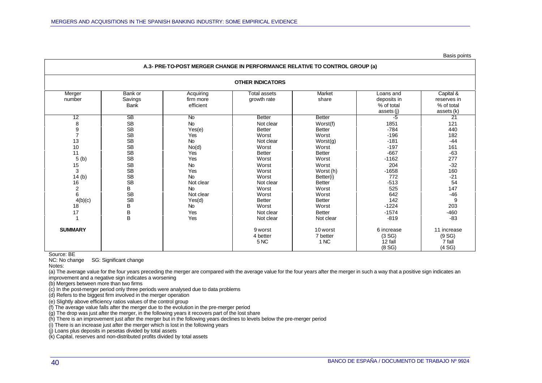| A.3- PRE-TO-POST MERGER CHANGE IN PERFORMANCE RELATIVE TO CONTROL GROUP (a) |                        |                |               |               |                     |                     |  |  |
|-----------------------------------------------------------------------------|------------------------|----------------|---------------|---------------|---------------------|---------------------|--|--|
| <b>OTHER INDICATORS</b>                                                     |                        |                |               |               |                     |                     |  |  |
| Merger                                                                      | Bank or                | Acquiring      | Total assets  | Market        | Loans and           | Capital &           |  |  |
| number                                                                      | Savings                | firm more      | growth rate   | share         | deposits in         | reserves in         |  |  |
|                                                                             | Bank                   | efficient      |               |               | % of total          | % of total          |  |  |
|                                                                             |                        |                |               |               | assets (j)          | assets (k)          |  |  |
| 12                                                                          | $\overline{\text{SB}}$ | $\overline{6}$ | <b>Better</b> | <b>Better</b> | $-5$                | $\overline{21}$     |  |  |
| 8                                                                           | <b>SB</b>              | <b>No</b>      | Not clear     | Worst(f)      | 1851                | 121                 |  |  |
| 9                                                                           | <b>SB</b>              | Yes(e)         | <b>Better</b> | <b>Better</b> | $-784$              | 440                 |  |  |
| $\overline{7}$                                                              | <b>SB</b>              | Yes            | Worst         | Worst         | $-196$              | 182                 |  |  |
| 13                                                                          | <b>SB</b>              | <b>No</b>      | Not clear     | Worst(g)      | $-181$              | $-44$               |  |  |
| 10                                                                          | <b>SB</b>              | No(d)          | Worst         | Worst         | $-197$              | 161                 |  |  |
| 11                                                                          | <b>SB</b>              | Yes            | <b>Better</b> | <b>Better</b> | $-667$              | $-63$               |  |  |
| 5(b)                                                                        | <b>SB</b>              | Yes            | Worst         | Worst         | $-1162$             | 277                 |  |  |
| 15                                                                          | <b>SB</b>              | <b>No</b>      | Worst         | Worst         | 204                 | $-32$               |  |  |
| $\mathbf{3}$                                                                | <b>SB</b>              | Yes            | Worst         | Worst (h)     | $-1658$             | 160                 |  |  |
| 14(b)                                                                       | <b>SB</b>              | <b>No</b>      | Worst         | Better(i)     | 772                 | $-21$               |  |  |
| 16                                                                          | <b>SB</b>              | Not clear      | Not clear     | <b>Better</b> | $-513$              | 54                  |  |  |
| $\sqrt{2}$                                                                  | В                      | <b>No</b>      | Worst         | Worst         | 525                 | 147                 |  |  |
| 6                                                                           | <b>SB</b>              | Not clear      | Worst         | Worst         | 642                 | $-46$               |  |  |
| 4(b)(c)                                                                     | <b>SB</b>              | Yes(d)         | <b>Better</b> | <b>Better</b> | 142                 | 9                   |  |  |
| 18                                                                          | B                      | No             | Worst         | Worst         | $-1224$             | 203                 |  |  |
| 17                                                                          | B                      | Yes            | Not clear     | <b>Better</b> | $-1574$             | $-460$              |  |  |
|                                                                             | B                      | Yes            | Not clear     | Not clear     | $-819$              | $-83$               |  |  |
| <b>SUMMARY</b>                                                              |                        |                | 9 worst       | 10 worst      | 6 increase          | 11 increase         |  |  |
|                                                                             |                        |                | 4 better      | 7 better      | (3 S <sub>G</sub> ) | (9 S <sub>G</sub> ) |  |  |
|                                                                             |                        |                | 5 NC          | 1 NC          | 12 fall             | 7 fall              |  |  |
|                                                                             |                        |                |               |               | (8 S)               | (4 S <sub>G</sub> ) |  |  |

Basis points

Source: BE

NC: No change SG: Significant change

Notes:

(a) The average value for the four years preceding the merger are compared with the average value for the four years after the merger in such a way that a positive sign indicates an

improvement and a negative sign indicates a worsening

(b) Mergers between more than two firms

(c) In the post-merger period only three periods were analysed due to data problems

(d) Refers to the biggest firm involved in the merger operation

(e) Slightly above efficiency ratios values of the control group

(f) The average value falls after the merger due to the evolution in the pre-merger period

(g) The drop was just after the merger, in the following years it recovers part of the lost share

(h) There is an improvement just after the merger but in the following years declines to levels below the pre-merger period

(i) There is an increase just after the merger which is lost in the following years

(j) Loans plus deposits in pesetas divided by total assets

(k) Capital, reserves and non-distributed profits divided by total assets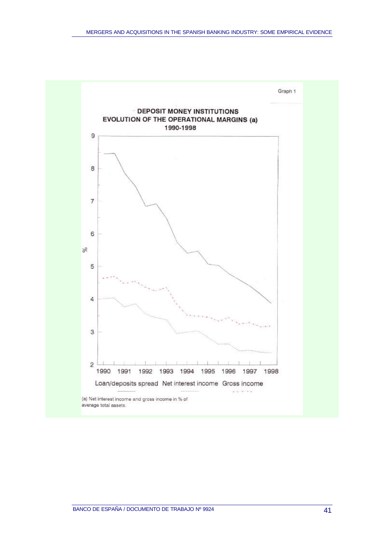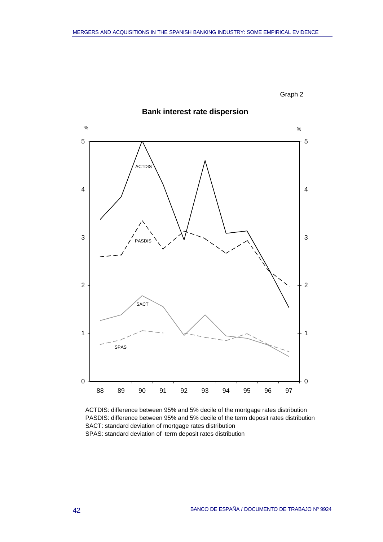



 ACTDIS: difference between 95% and 5% decile of the mortgage rates distribution PASDIS: difference between 95% and 5% decile of the term deposit rates distribution SACT: standard deviation of mortgage rates distribution SPAS: standard deviation of term deposit rates distribution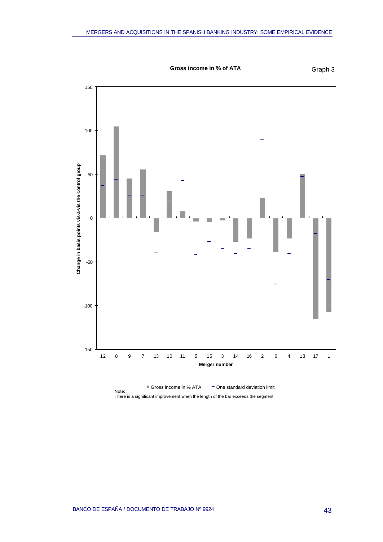**Gross income in % of ATA**

Graph 3



Gross income in % ATA - One standard deviation limit Note: There is a significant improvement when the length of the bar exceeds the segment.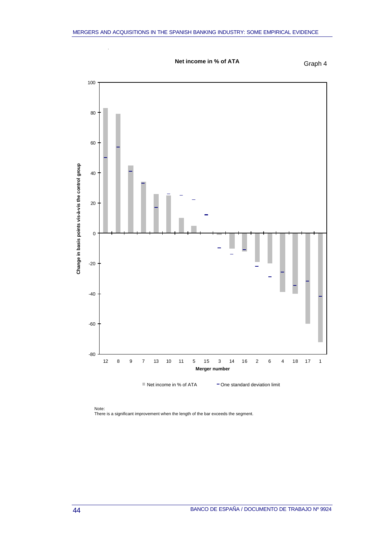**Net income in % of ATA**

Graph 4



Note: There is a significant improvement when the length of the bar exceeds the segment.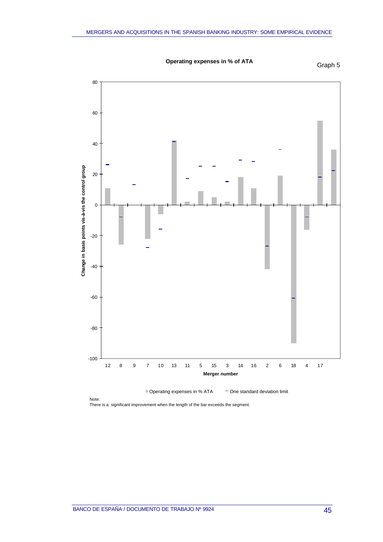**Operating expenses in % of ATA**

Graph 5



■ Operating expenses in % ATA <sup>→</sup> One standard deviation limit

Note: There is a significant improvement when the length of the bar exceeds the segment.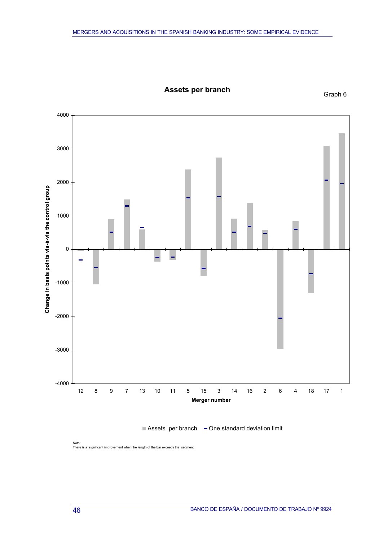

**Assets per branch**

Graph 6

 $\blacksquare$  Assets per branch  $\blacksquare$  One standard deviation limit

Note: There is a significant improvement when the length of the bar exceeds the segment.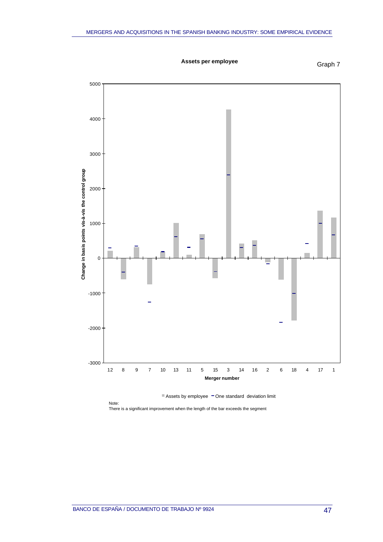**Assets per employee**

Graph 7



 $\blacksquare$  Assets by employee  $\blacksquare$  One standard deviation limit

Note: There is a significant improvement when the length of the bar exceeds the segment